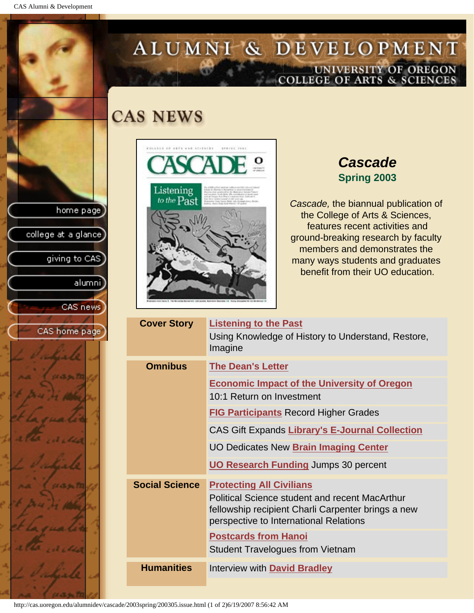CAS Alumni & Development

home page

college at a glance

giving to CAS

alumni

CAS news

CAS home page

# ALUMNI & DEVELOPMENT UNIVERSITY OF OREGON<br>COLLEGE OF ARTS & SCIENCES

## **CAS NEWS**



## *Cascade* **Spring 2003**

*Cascade,* the biannual publication of the College of Arts & Sciences, features recent activities and ground-breaking research by faculty members and demonstrates the many ways students and graduates benefit from their UO education.

| <b>Cover Story</b>    | <b>Listening to the Past</b><br>Using Knowledge of History to Understand, Restore,<br>Imagine                                                         |
|-----------------------|-------------------------------------------------------------------------------------------------------------------------------------------------------|
| <b>Omnibus</b>        | <b>The Dean's Letter</b>                                                                                                                              |
|                       | <b>Economic Impact of the University of Oregon</b><br>10:1 Return on Investment                                                                       |
|                       | <b>FIG Participants Record Higher Grades</b>                                                                                                          |
|                       | <b>CAS Gift Expands Library's E-Journal Collection</b>                                                                                                |
|                       | <b>UO Dedicates New Brain Imaging Center</b>                                                                                                          |
|                       | <b>UO Research Funding Jumps 30 percent</b>                                                                                                           |
| <b>Social Science</b> | <b>Protecting All Civilians</b>                                                                                                                       |
|                       | <b>Political Science student and recent MacArthur</b><br>fellowship recipient Charli Carpenter brings a new<br>perspective to International Relations |
|                       | <b>Postcards from Hanoi</b>                                                                                                                           |
|                       | <b>Student Travelogues from Vietnam</b>                                                                                                               |
| <b>Humanities</b>     | Interview with David Bradley                                                                                                                          |

http://cas.uoregon.edu/alumnidev/cascade/2003spring/200305.issue.html (1 of 2)6/19/2007 8:56:42 AM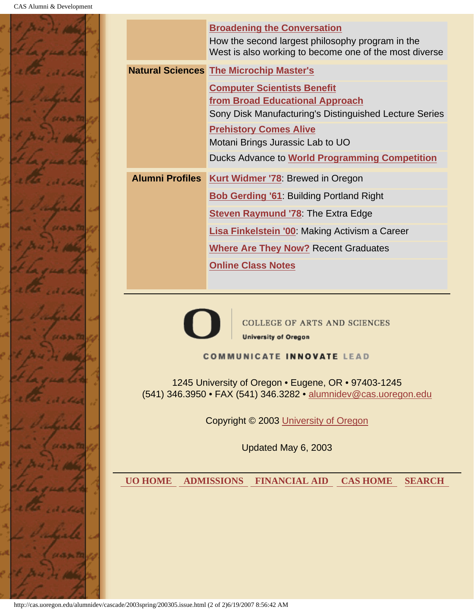

| <b>Alumni Profiles</b> | <b>Broadening the Conversation</b><br>How the second largest philosophy program in the<br>West is also working to become one of the most diverse<br><b>Natural Sciences The Microchip Master's</b><br><b>Computer Scientists Benefit</b><br>from Broad Educational Approach<br>Sony Disk Manufacturing's Distinguished Lecture Series<br><b>Prehistory Comes Alive</b><br>Motani Brings Jurassic Lab to UO<br>Ducks Advance to <b>World Programming Competition</b> |  |  |
|------------------------|---------------------------------------------------------------------------------------------------------------------------------------------------------------------------------------------------------------------------------------------------------------------------------------------------------------------------------------------------------------------------------------------------------------------------------------------------------------------|--|--|
|                        |                                                                                                                                                                                                                                                                                                                                                                                                                                                                     |  |  |
|                        |                                                                                                                                                                                                                                                                                                                                                                                                                                                                     |  |  |
|                        |                                                                                                                                                                                                                                                                                                                                                                                                                                                                     |  |  |
|                        |                                                                                                                                                                                                                                                                                                                                                                                                                                                                     |  |  |
|                        |                                                                                                                                                                                                                                                                                                                                                                                                                                                                     |  |  |
|                        |                                                                                                                                                                                                                                                                                                                                                                                                                                                                     |  |  |
|                        | Kurt Widmer '78: Brewed in Oregon                                                                                                                                                                                                                                                                                                                                                                                                                                   |  |  |
|                        | <b>Bob Gerding '61</b> Building Portland Right                                                                                                                                                                                                                                                                                                                                                                                                                      |  |  |
|                        | <b>Steven Raymund '78</b> The Extra Edge                                                                                                                                                                                                                                                                                                                                                                                                                            |  |  |
|                        | Lisa Finkelstein '00: Making Activism a Career                                                                                                                                                                                                                                                                                                                                                                                                                      |  |  |
|                        | <b>Where Are They Now? Recent Graduates</b>                                                                                                                                                                                                                                                                                                                                                                                                                         |  |  |
|                        | <b>Online Class Notes</b>                                                                                                                                                                                                                                                                                                                                                                                                                                           |  |  |
|                        |                                                                                                                                                                                                                                                                                                                                                                                                                                                                     |  |  |
|                        | <b>COLLEGE OF ARTS AND SCIENCES</b><br><b>University of Oregon</b><br><b>COMMUNICATE INNOVATE LEAD</b><br>1245 University of Oregon • Eugene, OR • 97403-1245<br>(541) 346.3950 • FAX (541) 346.3282 • alumnidev@cas.uoregon.edu<br>Copyright © 2003 University of Oregon<br>Updated May 6, 2003                                                                                                                                                                    |  |  |
| <b>UO HOME</b>         | <b>ADMISSIONS</b><br><b>FINANCIAL AID</b><br><b>CAS HOME</b><br><b>SEARCH</b>                                                                                                                                                                                                                                                                                                                                                                                       |  |  |

http://cas.uoregon.edu/alumnidev/cascade/2003spring/200305.issue.html (2 of 2)6/19/2007 8:56:42 AM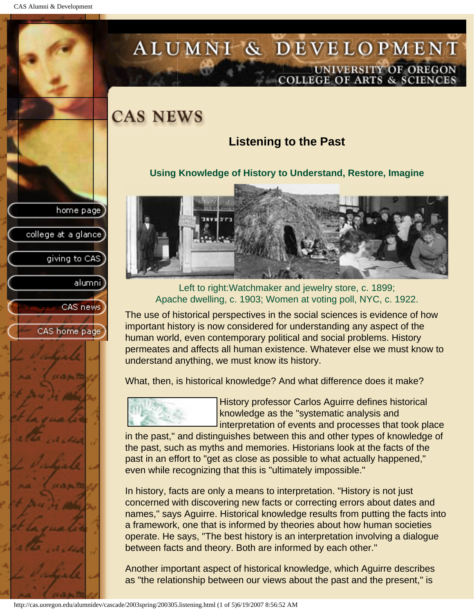college at a glance]

giving to CAS

alumni

CAS news

CAS home page

# <span id="page-2-0"></span>ALUMNI & DEVELOPMENT UNIVERSITY OF OREGON<br>COLLEGE OF ARTS & SCIENCES

# **CAS NEWS**

## **Listening to the Past**

### **Using Knowledge of History to Understand, Restore, Imagine**



Left to right:Watchmaker and jewelry store, c. 1899; Apache dwelling, c. 1903; Women at voting poll, NYC, c. 1922.

The use of historical perspectives in the social sciences is evidence of how important history is now considered for understanding any aspect of the human world, even contemporary political and social problems. History permeates and affects all human existence. Whatever else we must know to understand anything, we must know its history.

What, then, is historical knowledge? And what difference does it make?



History professor Carlos Aguirre defines historical knowledge as the "systematic analysis and interpretation of events and processes that took place

in the past," and distinguishes between this and other types of knowledge of the past, such as myths and memories. Historians look at the facts of the past in an effort to "get as close as possible to what actually happened," even while recognizing that this is "ultimately impossible."

In history, facts are only a means to interpretation. "History is not just concerned with discovering new facts or correcting errors about dates and names," says Aguirre. Historical knowledge results from putting the facts into a framework, one that is informed by theories about how human societies operate. He says, "The best history is an interpretation involving a dialogue between facts and theory. Both are informed by each other."

Another important aspect of historical knowledge, which Aguirre describes as "the relationship between our views about the past and the present," is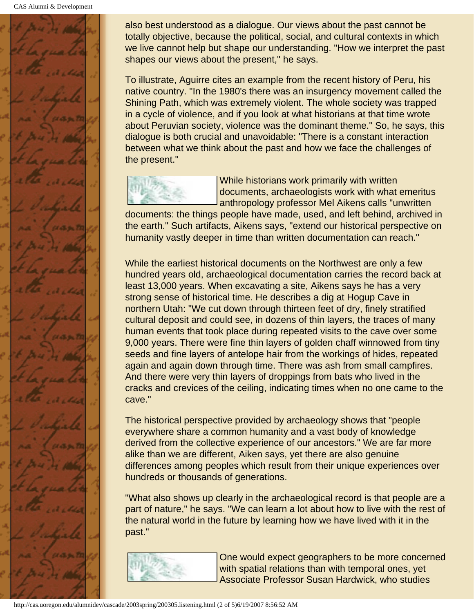

also best understood as a dialogue. Our views about the past cannot be totally objective, because the political, social, and cultural contexts in which we live cannot help but shape our understanding. "How we interpret the past shapes our views about the present," he says.

To illustrate, Aguirre cites an example from the recent history of Peru, his native country. "In the 1980's there was an insurgency movement called the Shining Path, which was extremely violent. The whole society was trapped in a cycle of violence, and if you look at what historians at that time wrote about Peruvian society, violence was the dominant theme." So, he says, this dialogue is both crucial and unavoidable: "There is a constant interaction between what we think about the past and how we face the challenges of the present."



While historians work primarily with written documents, archaeologists work with what emeritus anthropology professor Mel Aikens calls "unwritten

documents: the things people have made, used, and left behind, archived in the earth." Such artifacts, Aikens says, "extend our historical perspective on humanity vastly deeper in time than written documentation can reach."

While the earliest historical documents on the Northwest are only a few hundred years old, archaeological documentation carries the record back at least 13,000 years. When excavating a site, Aikens says he has a very strong sense of historical time. He describes a dig at Hogup Cave in northern Utah: "We cut down through thirteen feet of dry, finely stratified cultural deposit and could see, in dozens of thin layers, the traces of many human events that took place during repeated visits to the cave over some 9,000 years. There were fine thin layers of golden chaff winnowed from tiny seeds and fine layers of antelope hair from the workings of hides, repeated again and again down through time. There was ash from small campfires. And there were very thin layers of droppings from bats who lived in the cracks and crevices of the ceiling, indicating times when no one came to the cave."

The historical perspective provided by archaeology shows that "people everywhere share a common humanity and a vast body of knowledge derived from the collective experience of our ancestors." We are far more alike than we are different, Aiken says, yet there are also genuine differences among peoples which result from their unique experiences over hundreds or thousands of generations.

"What also shows up clearly in the archaeological record is that people are a part of nature," he says. "We can learn a lot about how to live with the rest of the natural world in the future by learning how we have lived with it in the past."



One would expect geographers to be more concerned with spatial relations than with temporal ones, yet Associate Professor Susan Hardwick, who studies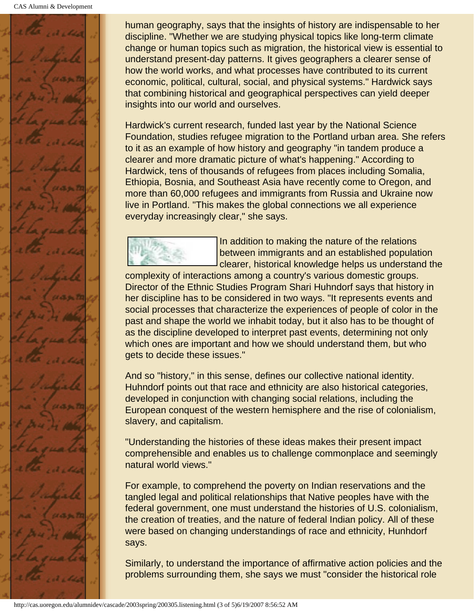

human geography, says that the insights of history are indispensable to her discipline. "Whether we are studying physical topics like long-term climate change or human topics such as migration, the historical view is essential to understand present-day patterns. It gives geographers a clearer sense of how the world works, and what processes have contributed to its current economic, political, cultural, social, and physical systems." Hardwick says that combining historical and geographical perspectives can yield deeper insights into our world and ourselves.

Hardwick's current research, funded last year by the National Science Foundation, studies refugee migration to the Portland urban area. She refers to it as an example of how history and geography "in tandem produce a clearer and more dramatic picture of what's happening." According to Hardwick, tens of thousands of refugees from places including Somalia, Ethiopia, Bosnia, and Southeast Asia have recently come to Oregon, and more than 60,000 refugees and immigrants from Russia and Ukraine now live in Portland. "This makes the global connections we all experience everyday increasingly clear," she says.



In addition to making the nature of the relations between immigrants and an established population clearer, historical knowledge helps us understand the

complexity of interactions among a country's various domestic groups. Director of the Ethnic Studies Program Shari Huhndorf says that history in her discipline has to be considered in two ways. "It represents events and social processes that characterize the experiences of people of color in the past and shape the world we inhabit today, but it also has to be thought of as the discipline developed to interpret past events, determining not only which ones are important and how we should understand them, but who gets to decide these issues."

And so "history," in this sense, defines our collective national identity. Huhndorf points out that race and ethnicity are also historical categories, developed in conjunction with changing social relations, including the European conquest of the western hemisphere and the rise of colonialism, slavery, and capitalism.

"Understanding the histories of these ideas makes their present impact comprehensible and enables us to challenge commonplace and seemingly natural world views."

For example, to comprehend the poverty on Indian reservations and the tangled legal and political relationships that Native peoples have with the federal government, one must understand the histories of U.S. colonialism, the creation of treaties, and the nature of federal Indian policy. All of these were based on changing understandings of race and ethnicity, Hunhdorf says.

Similarly, to understand the importance of affirmative action policies and the problems surrounding them, she says we must "consider the historical role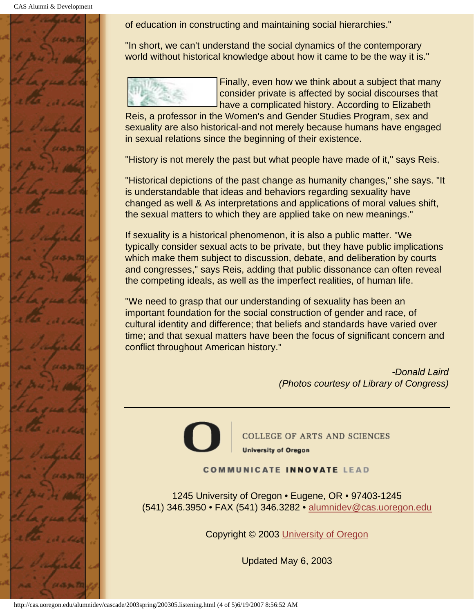CAS Alumni & Development



of education in constructing and maintaining social hierarchies."

"In short, we can't understand the social dynamics of the contemporary world without historical knowledge about how it came to be the way it is."



Finally, even how we think about a subject that many consider private is affected by social discourses that have a complicated history. According to Elizabeth

Reis, a professor in the Women's and Gender Studies Program, sex and sexuality are also historical-and not merely because humans have engaged in sexual relations since the beginning of their existence.

"History is not merely the past but what people have made of it," says Reis.

"Historical depictions of the past change as humanity changes," she says. "It is understandable that ideas and behaviors regarding sexuality have changed as well & As interpretations and applications of moral values shift, the sexual matters to which they are applied take on new meanings."

If sexuality is a historical phenomenon, it is also a public matter. "We typically consider sexual acts to be private, but they have public implications which make them subject to discussion, debate, and deliberation by courts and congresses," says Reis, adding that public dissonance can often reveal the competing ideals, as well as the imperfect realities, of human life.

"We need to grasp that our understanding of sexuality has been an important foundation for the social construction of gender and race, of cultural identity and difference; that beliefs and standards have varied over time; and that sexual matters have been the focus of significant concern and conflict throughout American history."

> *-Donald Laird (Photos courtesy of Library of Congress)*

**COLLEGE OF ARTS AND SCIENCES University of Oregon** 

**COMMUNICATE INNOVATE LEAD** 

1245 University of Oregon • Eugene, OR • 97403-1245 (541) 346.3950 • FAX (541) 346.3282 • alumnidev@cas.uoregon.edu

Copyright © 2003 University of Oregon

Updated May 6, 2003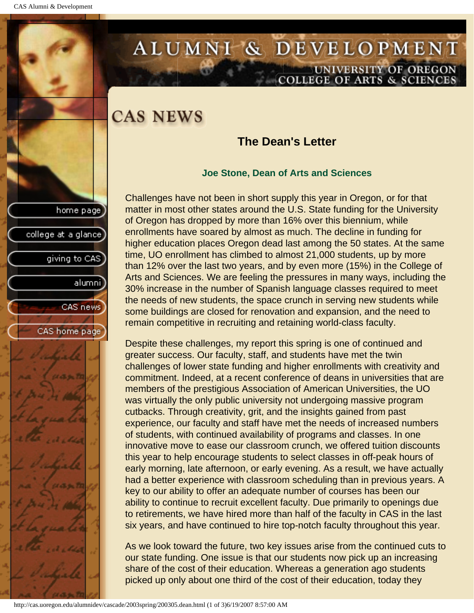college at a glance

giving to CAS

alumni

CAS news

CAS home page

# <span id="page-6-0"></span>ALUMNI & DEVELOPMENT UNIVERSITY OF OREGON<br>COLLEGE OF ARTS & SCIENCES

## **CAS NEWS**

### **The Dean's Letter**

#### **Joe Stone, Dean of Arts and Sciences**

Challenges have not been in short supply this year in Oregon, or for that matter in most other states around the U.S. State funding for the University of Oregon has dropped by more than 16% over this biennium, while enrollments have soared by almost as much. The decline in funding for higher education places Oregon dead last among the 50 states. At the same time, UO enrollment has climbed to almost 21,000 students, up by more than 12% over the last two years, and by even more (15%) in the College of Arts and Sciences. We are feeling the pressures in many ways, including the 30% increase in the number of Spanish language classes required to meet the needs of new students, the space crunch in serving new students while some buildings are closed for renovation and expansion, and the need to remain competitive in recruiting and retaining world-class faculty.

Despite these challenges, my report this spring is one of continued and greater success. Our faculty, staff, and students have met the twin challenges of lower state funding and higher enrollments with creativity and commitment. Indeed, at a recent conference of deans in universities that are members of the prestigious Association of American Universities, the UO was virtually the only public university not undergoing massive program cutbacks. Through creativity, grit, and the insights gained from past experience, our faculty and staff have met the needs of increased numbers of students, with continued availability of programs and classes. In one innovative move to ease our classroom crunch, we offered tuition discounts this year to help encourage students to select classes in off-peak hours of early morning, late afternoon, or early evening. As a result, we have actually had a better experience with classroom scheduling than in previous years. A key to our ability to offer an adequate number of courses has been our ability to continue to recruit excellent faculty. Due primarily to openings due to retirements, we have hired more than half of the faculty in CAS in the last six years, and have continued to hire top-notch faculty throughout this year.

As we look toward the future, two key issues arise from the continued cuts to our state funding. One issue is that our students now pick up an increasing share of the cost of their education. Whereas a generation ago students picked up only about one third of the cost of their education, today they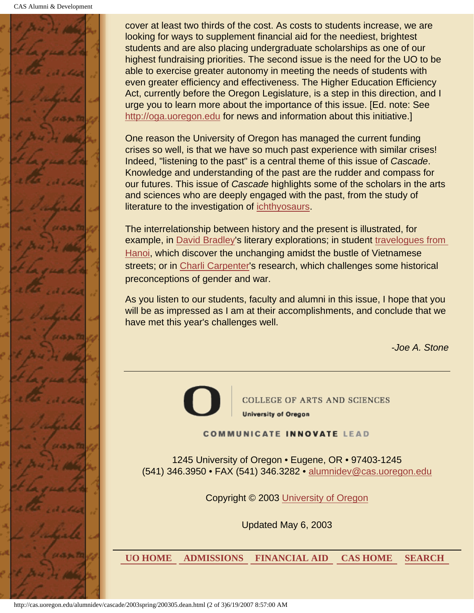

cover at least two thirds of the cost. As costs to students increase, we are looking for ways to supplement financial aid for the neediest, brightest students and are also placing undergraduate scholarships as one of our highest fundraising priorities. The second issue is the need for the UO to be able to exercise greater autonomy in meeting the needs of students with even greater efficiency and effectiveness. The Higher Education Efficiency Act, currently before the Oregon Legislature, is a step in this direction, and I urge you to learn more about the importance of this issue. [Ed. note: See http://oga.uoregon.edu for news and information about this initiative.]

One reason the University of Oregon has managed the current funding crises so well, is that we have so much past experience with similar crises! Indeed, "listening to the past" is a central theme of this issue of *Cascade*. Knowledge and understanding of the past are the rudder and compass for our futures. This issue of *Cascade* highlights some of the scholars in the arts and sciences who are deeply engaged with the past, from the study of literature to the investigation of [ichthyosaurs](#page-29-0).

The interrelationship between history and the present is illustrated, for example, in [David Bradley](#page-19-0)'s literary explorations; in student travelogues from [Hanoi,](#page-16-0) which discover the unchanging amidst the bustle of Vietnamese streets; or in [Charli Carpenter](#page-14-0)'s research, which challenges some historical preconceptions of gender and war.

As you listen to our students, faculty and alumni in this issue, I hope that you will be as impressed as I am at their accomplishments, and conclude that we have met this year's challenges well.

*-Joe A. Stone*



**COLLEGE OF ARTS AND SCIENCES University of Oregon** 

#### **COMMUNICATE INNOVATE LEAD**

1245 University of Oregon • Eugene, OR • 97403-1245 (541) 346.3950 • FAX (541) 346.3282 • alumnidev@cas.uoregon.edu

Copyright © 2003 University of Oregon

Updated May 6, 2003

 **UO HOME ADMISSIONS FINANCIAL AID CAS HOME SEARCH**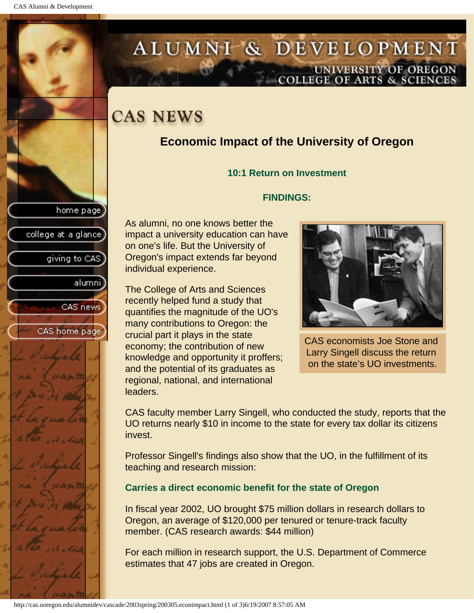college at a glance]

giving to CAS

alumnil

CAS news

CAS home page

# <span id="page-8-0"></span>ALUMNI & DEVELOPMENT UNIVERSITY OF OREGON<br>COLLEGE OF ARTS & SCIENCES

# **CAS NEWS**

## **Economic Impact of the University of Oregon**

#### **10:1 Return on Investment**

#### **FINDINGS:**

As alumni, no one knows better the impact a university education can have on one's life. But the University of Oregon's impact extends far beyond individual experience.

The College of Arts and Sciences recently helped fund a study that quantifies the magnitude of the UO's many contributions to Oregon: the crucial part it plays in the state economy; the contribution of new knowledge and opportunity it proffers; and the potential of its graduates as regional, national, and international leaders.



CAS economists Joe Stone and Larry Singell discuss the return on the state's UO investments.

CAS faculty member Larry Singell, who conducted the study, reports that the UO returns nearly \$10 in income to the state for every tax dollar its citizens invest.

Professor Singell's findings also show that the UO, in the fulfillment of its teaching and research mission:

### **Carries a direct economic benefit for the state of Oregon**

In fiscal year 2002, UO brought \$75 million dollars in research dollars to Oregon, an average of \$120,000 per tenured or tenure-track faculty member. (CAS research awards: \$44 million)

For each million in research support, the U.S. Department of Commerce estimates that 47 jobs are created in Oregon.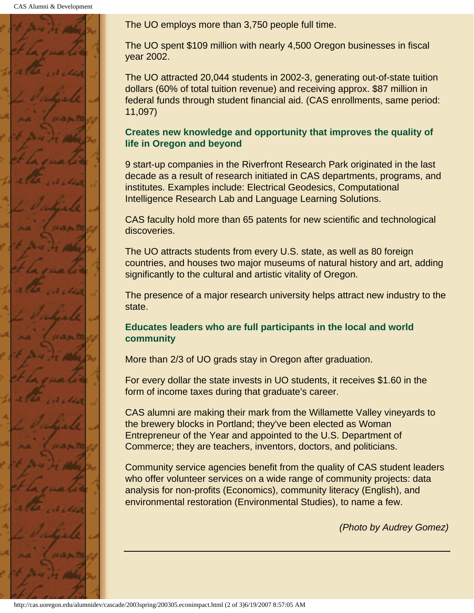CAS Alumni & Development



The UO employs more than 3,750 people full time.

The UO spent \$109 million with nearly 4,500 Oregon businesses in fiscal year 2002.

The UO attracted 20,044 students in 2002-3, generating out-of-state tuition dollars (60% of total tuition revenue) and receiving approx. \$87 million in federal funds through student financial aid. (CAS enrollments, same period: 11,097)

### **Creates new knowledge and opportunity that improves the quality of life in Oregon and beyond**

9 start-up companies in the Riverfront Research Park originated in the last decade as a result of research initiated in CAS departments, programs, and institutes. Examples include: Electrical Geodesics, Computational Intelligence Research Lab and Language Learning Solutions.

CAS faculty hold more than 65 patents for new scientific and technological discoveries.

The UO attracts students from every U.S. state, as well as 80 foreign countries, and houses two major museums of natural history and art, adding significantly to the cultural and artistic vitality of Oregon.

The presence of a major research university helps attract new industry to the state.

### **Educates leaders who are full participants in the local and world community**

More than 2/3 of UO grads stay in Oregon after graduation.

For every dollar the state invests in UO students, it receives \$1.60 in the form of income taxes during that graduate's career.

CAS alumni are making their mark from the Willamette Valley vineyards to the brewery blocks in Portland; they've been elected as Woman Entrepreneur of the Year and appointed to the U.S. Department of Commerce; they are teachers, inventors, doctors, and politicians.

Community service agencies benefit from the quality of CAS student leaders who offer volunteer services on a wide range of community projects: data analysis for non-profits (Economics), community literacy (English), and environmental restoration (Environmental Studies), to name a few.

*(Photo by Audrey Gomez)*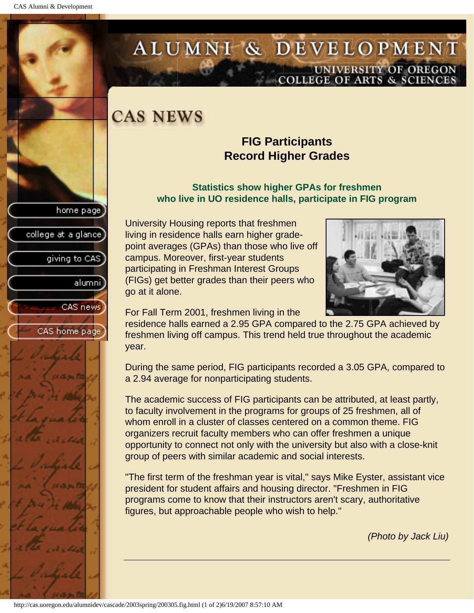college at a glance

giving to CAS

alumni

CAS news

CAS home page

# <span id="page-10-0"></span>ALUMNI & DEVELOPMENT UNIVERSITY OF OREGON<br>COLLEGE OF ARTS & SCIENCES

# **CAS NEWS**

### **FIG Participants Record Higher Grades**

#### **Statistics show higher GPAs for freshmen who live in UO residence halls, participate in FIG program**

University Housing reports that freshmen living in residence halls earn higher gradepoint averages (GPAs) than those who live off campus. Moreover, first-year students participating in Freshman Interest Groups (FIGs) get better grades than their peers who go at it alone.



For Fall Term 2001, freshmen living in the

residence halls earned a 2.95 GPA compared to the 2.75 GPA achieved by freshmen living off campus. This trend held true throughout the academic year.

During the same period, FIG participants recorded a 3.05 GPA, compared to a 2.94 average for nonparticipating students.

The academic success of FIG participants can be attributed, at least partly, to faculty involvement in the programs for groups of 25 freshmen, all of whom enroll in a cluster of classes centered on a common theme. FIG organizers recruit faculty members who can offer freshmen a unique opportunity to connect not only with the university but also with a close-knit group of peers with similar academic and social interests.

"The first term of the freshman year is vital," says Mike Eyster, assistant vice president for student affairs and housing director. "Freshmen in FIG programs come to know that their instructors aren't scary, authoritative figures, but approachable people who wish to help."

*(Photo by Jack Liu)*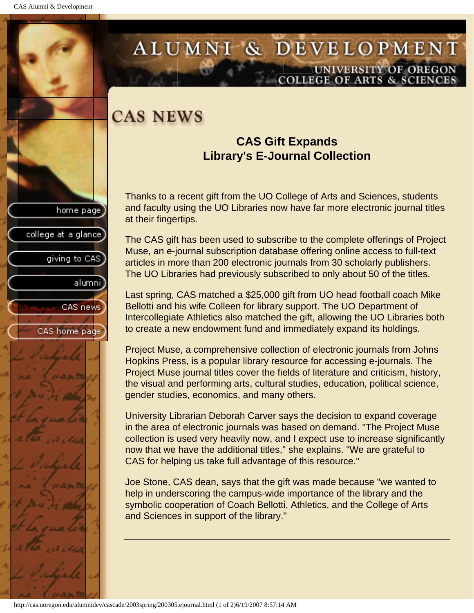college at a glance

giving to CAS

alumni

CAS news

CAS home page

## <span id="page-11-0"></span>ALUMNI & DEVELOPMENT UNIVERSITY OF OREGON **COLLEGE OF ARTS & SCIENCE**

## **CAS NEWS**

### **CAS Gift Expands Library's E-Journal Collection**

Thanks to a recent gift from the UO College of Arts and Sciences, students and faculty using the UO Libraries now have far more electronic journal titles at their fingertips.

The CAS gift has been used to subscribe to the complete offerings of Project Muse, an e-journal subscription database offering online access to full-text articles in more than 200 electronic journals from 30 scholarly publishers. The UO Libraries had previously subscribed to only about 50 of the titles.

Last spring, CAS matched a \$25,000 gift from UO head football coach Mike Bellotti and his wife Colleen for library support. The UO Department of Intercollegiate Athletics also matched the gift, allowing the UO Libraries both to create a new endowment fund and immediately expand its holdings.

Project Muse, a comprehensive collection of electronic journals from Johns Hopkins Press, is a popular library resource for accessing e-journals. The Project Muse journal titles cover the fields of literature and criticism, history, the visual and performing arts, cultural studies, education, political science, gender studies, economics, and many others.

University Librarian Deborah Carver says the decision to expand coverage in the area of electronic journals was based on demand. "The Project Muse collection is used very heavily now, and I expect use to increase significantly now that we have the additional titles," she explains. "We are grateful to CAS for helping us take full advantage of this resource."

Joe Stone, CAS dean, says that the gift was made because "we wanted to help in underscoring the campus-wide importance of the library and the symbolic cooperation of Coach Bellotti, Athletics, and the College of Arts and Sciences in support of the library."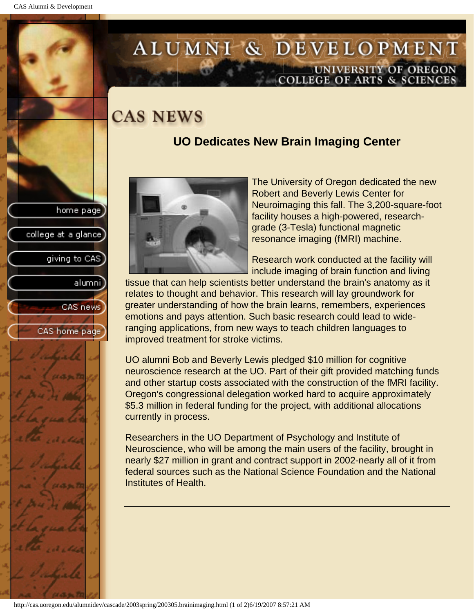# <span id="page-12-0"></span>ALUMNI & DEVELOPMENT UNIVERSITY OF OREGON<br>COLLEGE OF ARTS & SCIENCES

# **CAS NEWS**

## **UO Dedicates New Brain Imaging Center**





The University of Oregon dedicated the new Robert and Beverly Lewis Center for Neuroimaging this fall. The 3,200-square-foot facility houses a high-powered, researchgrade (3-Tesla) functional magnetic resonance imaging (fMRI) machine.

Research work conducted at the facility will include imaging of brain function and living

tissue that can help scientists better understand the brain's anatomy as it relates to thought and behavior. This research will lay groundwork for greater understanding of how the brain learns, remembers, experiences emotions and pays attention. Such basic research could lead to wideranging applications, from new ways to teach children languages to improved treatment for stroke victims.

UO alumni Bob and Beverly Lewis pledged \$10 million for cognitive neuroscience research at the UO. Part of their gift provided matching funds and other startup costs associated with the construction of the fMRI facility. Oregon's congressional delegation worked hard to acquire approximately \$5.3 million in federal funding for the project, with additional allocations currently in process.

Researchers in the UO Department of Psychology and Institute of Neuroscience, who will be among the main users of the facility, brought in nearly \$27 million in grant and contract support in 2002-nearly all of it from federal sources such as the National Science Foundation and the National Institutes of Health.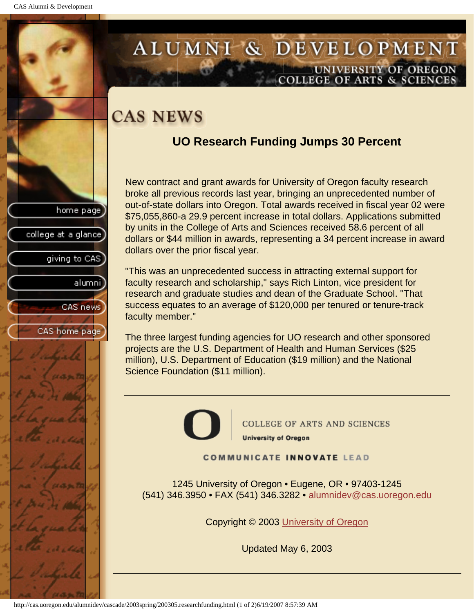college at a glance

giving to CAS

alumni

CAS news

CAS home page

## <span id="page-13-0"></span>ALUMNI & DEVELOPMENT UNIVERSITY OF OREGON **COLLEGE OF ARTS & SCIENCE**

# **CAS NEWS**

## **UO Research Funding Jumps 30 Percent**

New contract and grant awards for University of Oregon faculty research broke all previous records last year, bringing an unprecedented number of out-of-state dollars into Oregon. Total awards received in fiscal year 02 were \$75,055,860-a 29.9 percent increase in total dollars. Applications submitted by units in the College of Arts and Sciences received 58.6 percent of all dollars or \$44 million in awards, representing a 34 percent increase in award dollars over the prior fiscal year.

"This was an unprecedented success in attracting external support for faculty research and scholarship," says Rich Linton, vice president for research and graduate studies and dean of the Graduate School. "That success equates to an average of \$120,000 per tenured or tenure-track faculty member."

The three largest funding agencies for UO research and other sponsored projects are the U.S. Department of Health and Human Services (\$25 million), U.S. Department of Education (\$19 million) and the National Science Foundation (\$11 million).



COLLEGE OF ARTS AND SCIENCES **University of Oregon** 

**COMMUNICATE INNOVATE LEAD** 

1245 University of Oregon • Eugene, OR • 97403-1245 (541) 346.3950 • FAX (541) 346.3282 • alumnidev@cas.uoregon.edu

Copyright © 2003 University of Oregon

Updated May 6, 2003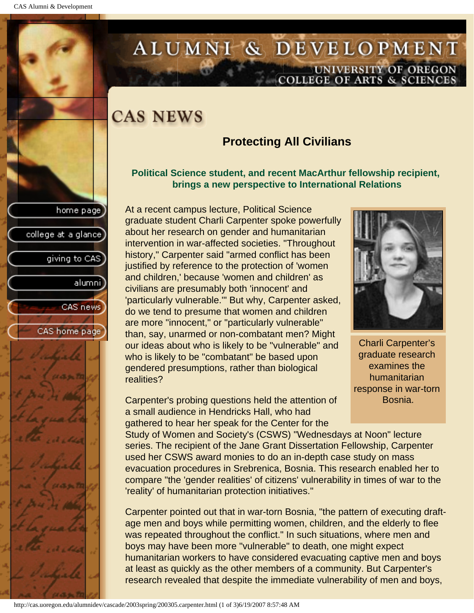college at a glance

giving to CAS

alumnil

CAS news

CAS home page

# <span id="page-14-0"></span>ALUMNI & DEVELOPMENT UNIVERSITY OF OREGON<br>COLLEGE OF ARTS & SCIENCES

# **CAS NEWS**

### **Protecting All Civilians**

### **Political Science student, and recent MacArthur fellowship recipient, brings a new perspective to International Relations**

At a recent campus lecture, Political Science graduate student Charli Carpenter spoke powerfully about her research on gender and humanitarian intervention in war-affected societies. "Throughout history," Carpenter said "armed conflict has been justified by reference to the protection of 'women and children,' because 'women and children' as civilians are presumably both 'innocent' and 'particularly vulnerable.'" But why, Carpenter asked, do we tend to presume that women and children are more "innocent," or "particularly vulnerable" than, say, unarmed or non-combatant men? Might our ideas about who is likely to be "vulnerable" and who is likely to be "combatant" be based upon gendered presumptions, rather than biological realities?

Charli Carpenter's graduate research examines the humanitarian response in war-torn Bosnia.

Carpenter's probing questions held the attention of a small audience in Hendricks Hall, who had gathered to hear her speak for the Center for the

Study of Women and Society's (CSWS) "Wednesdays at Noon" lecture series. The recipient of the Jane Grant Dissertation Fellowship, Carpenter used her CSWS award monies to do an in-depth case study on mass evacuation procedures in Srebrenica, Bosnia. This research enabled her to compare "the 'gender realities' of citizens' vulnerability in times of war to the 'reality' of humanitarian protection initiatives."

Carpenter pointed out that in war-torn Bosnia, "the pattern of executing draftage men and boys while permitting women, children, and the elderly to flee was repeated throughout the conflict." In such situations, where men and boys may have been more "vulnerable" to death, one might expect humanitarian workers to have considered evacuating captive men and boys at least as quickly as the other members of a community. But Carpenter's research revealed that despite the immediate vulnerability of men and boys,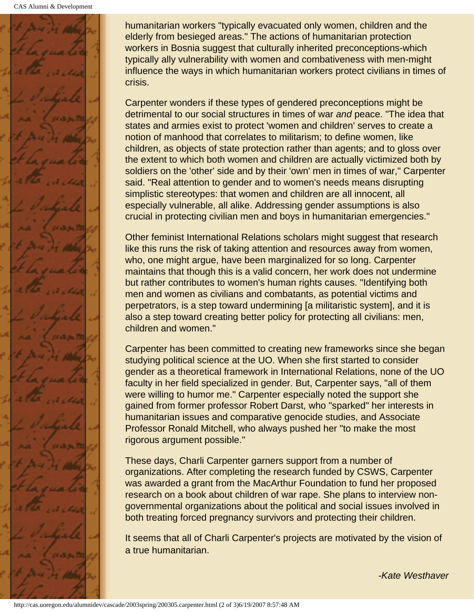

humanitarian workers "typically evacuated only women, children and the elderly from besieged areas." The actions of humanitarian protection workers in Bosnia suggest that culturally inherited preconceptions-which typically ally vulnerability with women and combativeness with men-might influence the ways in which humanitarian workers protect civilians in times of crisis.

Carpenter wonders if these types of gendered preconceptions might be detrimental to our social structures in times of war *and* peace. "The idea that states and armies exist to protect 'women and children' serves to create a notion of manhood that correlates to militarism; to define women, like children, as objects of state protection rather than agents; and to gloss over the extent to which both women and children are actually victimized both by soldiers on the 'other' side and by their 'own' men in times of war," Carpenter said. "Real attention to gender and to women's needs means disrupting simplistic stereotypes: that women and children are all innocent, all especially vulnerable, all alike. Addressing gender assumptions is also crucial in protecting civilian men and boys in humanitarian emergencies."

Other feminist International Relations scholars might suggest that research like this runs the risk of taking attention and resources away from women, who, one might argue, have been marginalized for so long. Carpenter maintains that though this is a valid concern, her work does not undermine but rather contributes to women's human rights causes. "Identifying both men and women as civilians and combatants, as potential victims and perpetrators, is a step toward undermining [a militaristic system], and it is also a step toward creating better policy for protecting all civilians: men, children and women."

Carpenter has been committed to creating new frameworks since she began studying political science at the UO. When she first started to consider gender as a theoretical framework in International Relations, none of the UO faculty in her field specialized in gender. But, Carpenter says, "all of them were willing to humor me." Carpenter especially noted the support she gained from former professor Robert Darst, who "sparked" her interests in humanitarian issues and comparative genocide studies, and Associate Professor Ronald Mitchell, who always pushed her "to make the most rigorous argument possible."

These days, Charli Carpenter garners support from a number of organizations. After completing the research funded by CSWS, Carpenter was awarded a grant from the MacArthur Foundation to fund her proposed research on a book about children of war rape. She plans to interview nongovernmental organizations about the political and social issues involved in both treating forced pregnancy survivors and protecting their children.

It seems that all of Charli Carpenter's projects are motivated by the vision of a true humanitarian.

*-Kate Westhaver*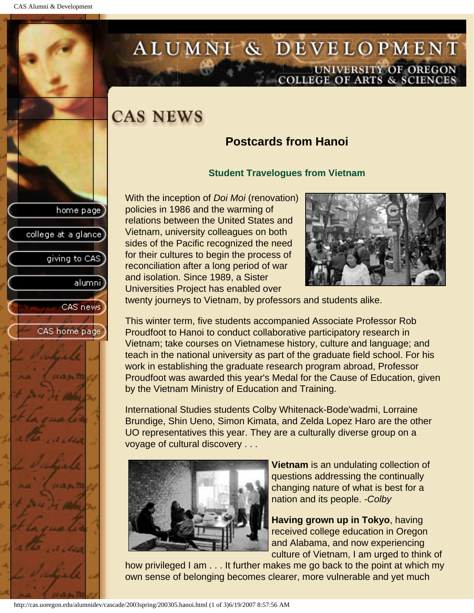college at a glance

giving to CAS

alumnil

CAS news

CAS home page

# <span id="page-16-0"></span>ALUMNI & DEVELOPMENT UNIVERSITY OF OREGON<br>COLLEGE OF ARTS & SCIENCES

# **CAS NEWS**

## **Postcards from Hanoi**

### **Student Travelogues from Vietnam**

With the inception of *Doi Moi* (renovation) policies in 1986 and the warming of relations between the United States and Vietnam, university colleagues on both sides of the Pacific recognized the need for their cultures to begin the process of reconciliation after a long period of war and isolation. Since 1989, a Sister Universities Project has enabled over



twenty journeys to Vietnam, by professors and students alike.

This winter term, five students accompanied Associate Professor Rob Proudfoot to Hanoi to conduct collaborative participatory research in Vietnam; take courses on Vietnamese history, culture and language; and teach in the national university as part of the graduate field school. For his work in establishing the graduate research program abroad, Professor Proudfoot was awarded this year's Medal for the Cause of Education, given by the Vietnam Ministry of Education and Training.

International Studies students Colby Whitenack-Bode'wadmi, Lorraine Brundige, Shin Ueno, Simon Kimata, and Zelda Lopez Haro are the other UO representatives this year. They are a culturally diverse group on a voyage of cultural discovery . . .



**Vietnam** is an undulating collection of questions addressing the continually changing nature of what is best for a nation and its people. *-Colby*

**Having grown up in Tokyo**, having received college education in Oregon and Alabama, and now experiencing culture of Vietnam, I am urged to think of

how privileged I am . . . It further makes me go back to the point at which my own sense of belonging becomes clearer, more vulnerable and yet much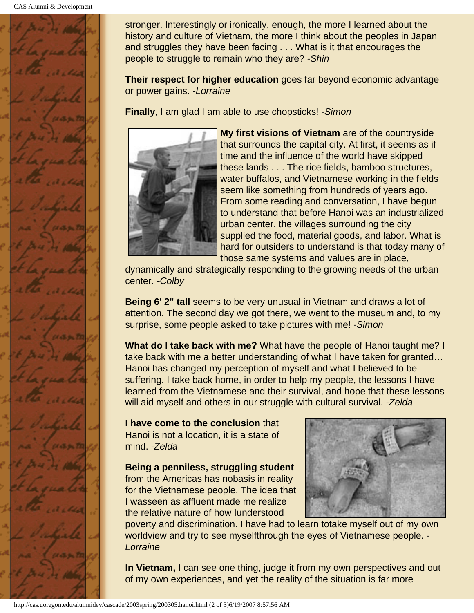

stronger. Interestingly or ironically, enough, the more I learned about the history and culture of Vietnam, the more I think about the peoples in Japan and struggles they have been facing . . . What is it that encourages the people to struggle to remain who they are? *-Shin*

**Their respect for higher education** goes far beyond economic advantage or power gains. *-Lorraine*

**Finally**, I am glad I am able to use chopsticks! *-Simon*



**My first visions of Vietnam** are of the countryside that surrounds the capital city. At first, it seems as if time and the influence of the world have skipped these lands . . . The rice fields, bamboo structures, water buffalos, and Vietnamese working in the fields seem like something from hundreds of years ago. From some reading and conversation, I have begun to understand that before Hanoi was an industrialized urban center, the villages surrounding the city supplied the food, material goods, and labor. What is hard for outsiders to understand is that today many of those same systems and values are in place,

dynamically and strategically responding to the growing needs of the urban center. *-Colby*

**Being 6' 2" tall** seems to be very unusual in Vietnam and draws a lot of attention. The second day we got there, we went to the museum and, to my surprise, some people asked to take pictures with me! *-Simon*

**What do I take back with me?** What have the people of Hanoi taught me? I take back with me a better understanding of what I have taken for granted… Hanoi has changed my perception of myself and what I believed to be suffering. I take back home, in order to help my people, the lessons I have learned from the Vietnamese and their survival, and hope that these lessons will aid myself and others in our struggle with cultural survival. *-Zelda*

**I have come to the conclusion** that Hanoi is not a location, it is a state of mind. *-Zelda*

**Being a penniless, struggling student** from the Americas has nobasis in reality for the Vietnamese people. The idea that I wasseen as affluent made me realize the relative nature of how Iunderstood



poverty and discrimination. I have had to learn totake myself out of my own worldview and try to see myselfthrough the eyes of Vietnamese people. *- Lorraine*

**In Vietnam,** I can see one thing, judge it from my own perspectives and out of my own experiences, and yet the reality of the situation is far more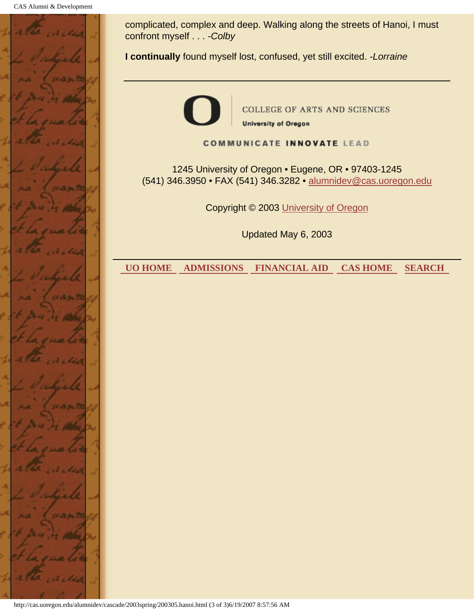

complicated, complex and deep. Walking along the streets of Hanoi, I must confront myself . . . *-Colby*

**I continually** found myself lost, confused, yet still excited. *-Lorraine*



**COLLEGE OF ARTS AND SCIENCES University of Oregon** 

**COMMUNICATE INNOVATE LEAD** 

1245 University of Oregon • Eugene, OR • 97403-1245 (541) 346.3950 • FAX (541) 346.3282 • alumnidev@cas.uoregon.edu

Copyright © 2003 University of Oregon

Updated May 6, 2003

 **UO HOME ADMISSIONS FINANCIAL AID CAS HOME SEARCH**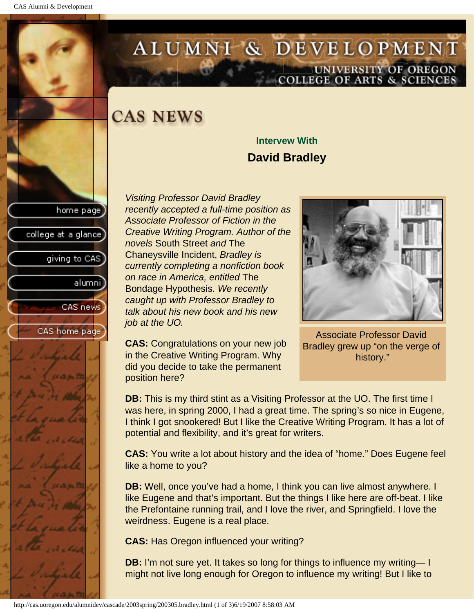# <span id="page-19-0"></span>ALUMNI & DEVELOPMENT UNIVERSITY OF OREGON<br>COLLEGE OF ARTS & SCIENCES

# **CAS NEWS**

## **Intervew With David Bradley**

home page college at a glance giving to CAS alumni CAS news CAS home page

*Visiting Professor David Bradley recently accepted a full-time position as Associate Professor of Fiction in the Creative Writing Program. Author of the novels* South Street *and* The Chaneysville Incident, *Bradley is currently completing a nonfiction book on race in America, entitled* The Bondage Hypothesis. *We recently caught up with Professor Bradley to talk about his new book and his new job at the UO.*

**CAS:** Congratulations on your new job in the Creative Writing Program. Why did you decide to take the permanent position here?

Associate Professor David Bradley grew up "on the verge of history."

**DB:** This is my third stint as a Visiting Professor at the UO. The first time I was here, in spring 2000, I had a great time. The spring's so nice in Eugene, I think I got snookered! But I like the Creative Writing Program. It has a lot of potential and flexibility, and it's great for writers.

**CAS:** You write a lot about history and the idea of "home." Does Eugene feel like a home to you?

**DB:** Well, once you've had a home, I think you can live almost anywhere. I like Eugene and that's important. But the things I like here are off-beat. I like the Prefontaine running trail, and I love the river, and Springfield. I love the weirdness. Eugene is a real place.

**CAS:** Has Oregon influenced your writing?

**DB:** I'm not sure yet. It takes so long for things to influence my writing— I might not live long enough for Oregon to influence my writing! But I like to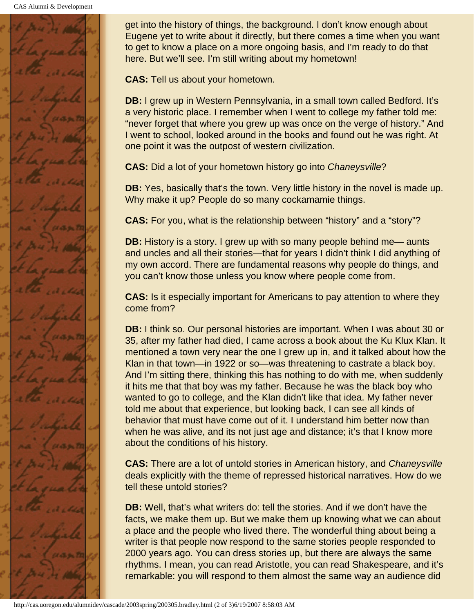CAS Alumni & Development



get into the history of things, the background. I don't know enough about Eugene yet to write about it directly, but there comes a time when you want to get to know a place on a more ongoing basis, and I'm ready to do that here. But we'll see. I'm still writing about my hometown!

**CAS:** Tell us about your hometown.

**DB:** I grew up in Western Pennsylvania, in a small town called Bedford. It's a very historic place. I remember when I went to college my father told me: "never forget that where you grew up was once on the verge of history." And I went to school, looked around in the books and found out he was right. At one point it was the outpost of western civilization.

**CAS:** Did a lot of your hometown history go into *Chaneysville*?

**DB:** Yes, basically that's the town. Very little history in the novel is made up. Why make it up? People do so many cockamamie things.

**CAS:** For you, what is the relationship between "history" and a "story"?

**DB:** History is a story. I grew up with so many people behind me— aunts and uncles and all their stories—that for years I didn't think I did anything of my own accord. There are fundamental reasons why people do things, and you can't know those unless you know where people come from.

**CAS:** Is it especially important for Americans to pay attention to where they come from?

**DB:** I think so. Our personal histories are important. When I was about 30 or 35, after my father had died, I came across a book about the Ku Klux Klan. It mentioned a town very near the one I grew up in, and it talked about how the Klan in that town—in 1922 or so—was threatening to castrate a black boy. And I'm sitting there, thinking this has nothing to do with me, when suddenly it hits me that that boy was my father. Because he was the black boy who wanted to go to college, and the Klan didn't like that idea. My father never told me about that experience, but looking back, I can see all kinds of behavior that must have come out of it. I understand him better now than when he was alive, and its not just age and distance; it's that I know more about the conditions of his history.

**CAS:** There are a lot of untold stories in American history, and *Chaneysville* deals explicitly with the theme of repressed historical narratives. How do we tell these untold stories?

**DB:** Well, that's what writers do: tell the stories. And if we don't have the facts, we make them up. But we make them up knowing what we can about a place and the people who lived there. The wonderful thing about being a writer is that people now respond to the same stories people responded to 2000 years ago. You can dress stories up, but there are always the same rhythms. I mean, you can read Aristotle, you can read Shakespeare, and it's remarkable: you will respond to them almost the same way an audience did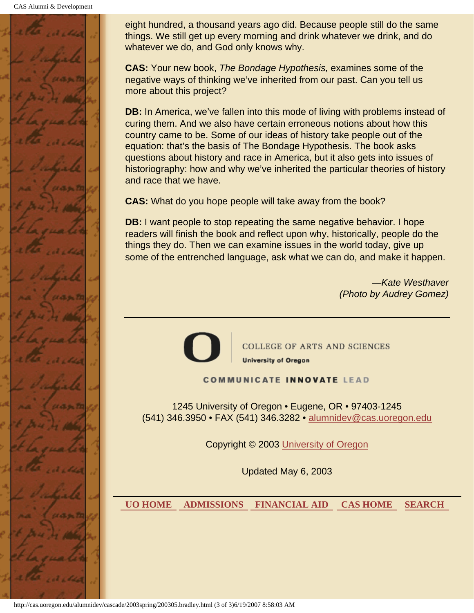

eight hundred, a thousand years ago did. Because people still do the same things. We still get up every morning and drink whatever we drink, and do whatever we do, and God only knows why.

**CAS:** Your new book, *The Bondage Hypothesis,* examines some of the negative ways of thinking we've inherited from our past. Can you tell us more about this project?

**DB:** In America, we've fallen into this mode of living with problems instead of curing them. And we also have certain erroneous notions about how this country came to be. Some of our ideas of history take people out of the equation: that's the basis of The Bondage Hypothesis. The book asks questions about history and race in America, but it also gets into issues of historiography: how and why we've inherited the particular theories of history and race that we have.

**CAS:** What do you hope people will take away from the book?

**DB:** I want people to stop repeating the same negative behavior. I hope readers will finish the book and reflect upon why, historically, people do the things they do. Then we can examine issues in the world today, give up some of the entrenched language, ask what we can do, and make it happen.

> *—Kate Westhaver (Photo by Audrey Gomez)*



**COLLEGE OF ARTS AND SCIENCES University of Oregon** 

**COMMUNICATE INNOVATE LEAD** 

1245 University of Oregon • Eugene, OR • 97403-1245 (541) 346.3950 • FAX (541) 346.3282 • alumnidev@cas.uoregon.edu

Copyright © 2003 University of Oregon

Updated May 6, 2003

 **UO HOME ADMISSIONS FINANCIAL AID CAS HOME SEARCH**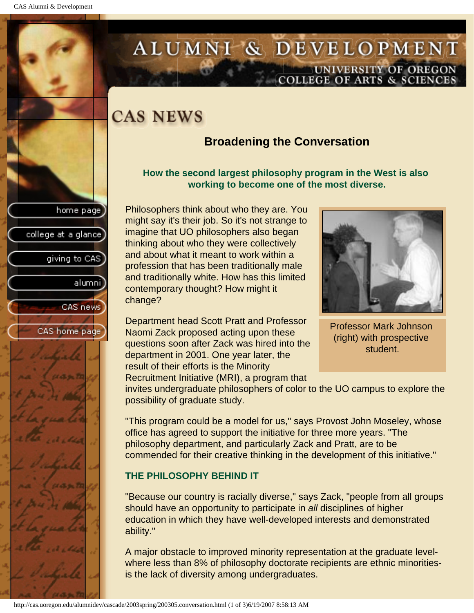college at a glance

giving to CAS

alumni

CAS news

CAS home page

# <span id="page-22-0"></span>ALUMNI & DEVELOPMENT UNIVERSITY OF OREGON<br>COLLEGE OF ARTS & SCIENCES

# **CAS NEWS**

### **Broadening the Conversation**

#### **How the second largest philosophy program in the West is also working to become one of the most diverse.**

Philosophers think about who they are. You might say it's their job. So it's not strange to imagine that UO philosophers also began thinking about who they were collectively and about what it meant to work within a profession that has been traditionally male and traditionally white. How has this limited contemporary thought? How might it change?

Department head Scott Pratt and Professor Naomi Zack proposed acting upon these questions soon after Zack was hired into the department in 2001. One year later, the result of their efforts is the Minority Recruitment Initiative (MRI), a program that



Professor Mark Johnson (right) with prospective student.

invites undergraduate philosophers of color to the UO campus to explore the possibility of graduate study.

"This program could be a model for us," says Provost John Moseley, whose office has agreed to support the initiative for three more years. "The philosophy department, and particularly Zack and Pratt, are to be commended for their creative thinking in the development of this initiative."

### **THE PHILOSOPHY BEHIND IT**

"Because our country is racially diverse," says Zack, "people from all groups should have an opportunity to participate in *all* disciplines of higher education in which they have well-developed interests and demonstrated ability."

A major obstacle to improved minority representation at the graduate levelwhere less than 8% of philosophy doctorate recipients are ethnic minoritiesis the lack of diversity among undergraduates.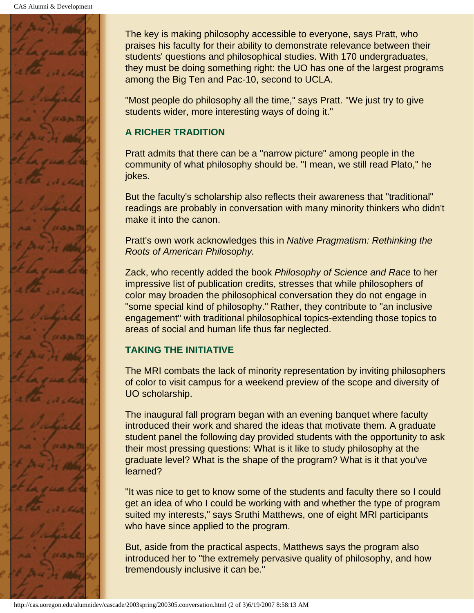

The key is making philosophy accessible to everyone, says Pratt, who praises his faculty for their ability to demonstrate relevance between their students' questions and philosophical studies. With 170 undergraduates, they must be doing something right: the UO has one of the largest programs among the Big Ten and Pac-10, second to UCLA.

"Most people do philosophy all the time," says Pratt. "We just try to give students wider, more interesting ways of doing it."

### **A RICHER TRADITION**

Pratt admits that there can be a "narrow picture" among people in the community of what philosophy should be. "I mean, we still read Plato," he jokes.

But the faculty's scholarship also reflects their awareness that "traditional" readings are probably in conversation with many minority thinkers who didn't make it into the canon.

Pratt's own work acknowledges this in *Native Pragmatism: Rethinking the Roots of American Philosophy.*

Zack, who recently added the book *Philosophy of Science and Race* to her impressive list of publication credits, stresses that while philosophers of color may broaden the philosophical conversation they do not engage in "some special kind of philosophy." Rather, they contribute to "an inclusive engagement" with traditional philosophical topics-extending those topics to areas of social and human life thus far neglected.

### **TAKING THE INITIATIVE**

The MRI combats the lack of minority representation by inviting philosophers of color to visit campus for a weekend preview of the scope and diversity of UO scholarship.

The inaugural fall program began with an evening banquet where faculty introduced their work and shared the ideas that motivate them. A graduate student panel the following day provided students with the opportunity to ask their most pressing questions: What is it like to study philosophy at the graduate level? What is the shape of the program? What is it that you've learned?

"It was nice to get to know some of the students and faculty there so I could get an idea of who I could be working with and whether the type of program suited my interests," says Sruthi Matthews, one of eight MRI participants who have since applied to the program.

But, aside from the practical aspects, Matthews says the program also introduced her to "the extremely pervasive quality of philosophy, and how tremendously inclusive it can be."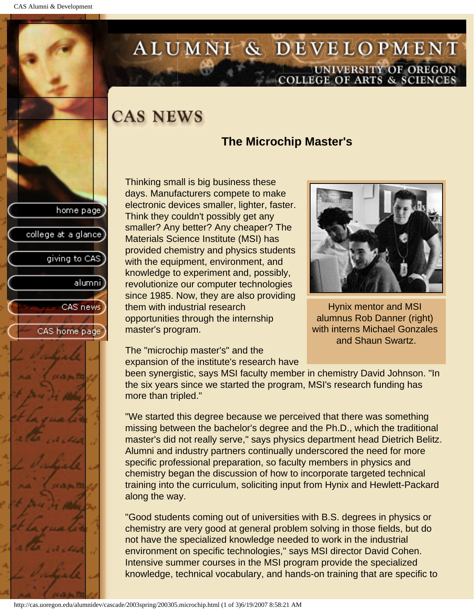# <span id="page-24-0"></span>ALUMNI & DEVELOPMENT UNIVERSITY OF OREGON<br>COLLEGE OF ARTS & SCIENCES

# **CAS NEWS**

### **The Microchip Master's**

Thinking small is big business these days. Manufacturers compete to make electronic devices smaller, lighter, faster. Think they couldn't possibly get any smaller? Any better? Any cheaper? The Materials Science Institute (MSI) has provided chemistry and physics students with the equipment, environment, and knowledge to experiment and, possibly, revolutionize our computer technologies since 1985. Now, they are also providing them with industrial research opportunities through the internship master's program.



Hynix mentor and MSI alumnus Rob Danner (right) with interns Michael Gonzales and Shaun Swartz.

The "microchip master's" and the expansion of the institute's research have

been synergistic, says MSI faculty member in chemistry David Johnson. "In the six years since we started the program, MSI's research funding has more than tripled."

"We started this degree because we perceived that there was something missing between the bachelor's degree and the Ph.D., which the traditional master's did not really serve," says physics department head Dietrich Belitz. Alumni and industry partners continually underscored the need for more specific professional preparation, so faculty members in physics and chemistry began the discussion of how to incorporate targeted technical training into the curriculum, soliciting input from Hynix and Hewlett-Packard along the way.

"Good students coming out of universities with B.S. degrees in physics or chemistry are very good at general problem solving in those fields, but do not have the specialized knowledge needed to work in the industrial environment on specific technologies," says MSI director David Cohen. Intensive summer courses in the MSI program provide the specialized knowledge, technical vocabulary, and hands-on training that are specific to



home page

college at a glance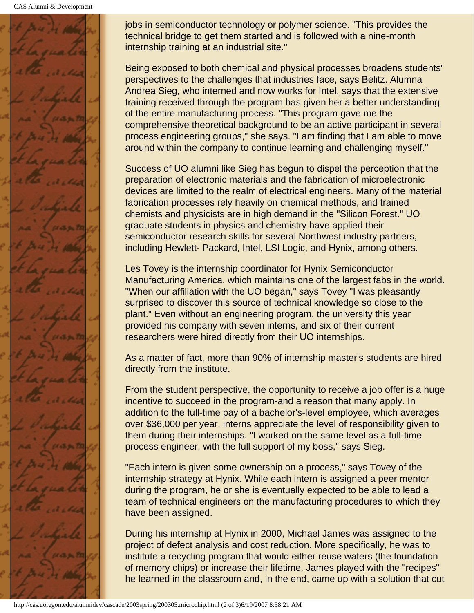CAS Alumni & Development



jobs in semiconductor technology or polymer science. "This provides the technical bridge to get them started and is followed with a nine-month internship training at an industrial site."

Being exposed to both chemical and physical processes broadens students' perspectives to the challenges that industries face, says Belitz. Alumna Andrea Sieg, who interned and now works for Intel, says that the extensive training received through the program has given her a better understanding of the entire manufacturing process. "This program gave me the comprehensive theoretical background to be an active participant in several process engineering groups," she says. "I am finding that I am able to move around within the company to continue learning and challenging myself."

Success of UO alumni like Sieg has begun to dispel the perception that the preparation of electronic materials and the fabrication of microelectronic devices are limited to the realm of electrical engineers. Many of the material fabrication processes rely heavily on chemical methods, and trained chemists and physicists are in high demand in the "Silicon Forest." UO graduate students in physics and chemistry have applied their semiconductor research skills for several Northwest industry partners, including Hewlett- Packard, Intel, LSI Logic, and Hynix, among others.

Les Tovey is the internship coordinator for Hynix Semiconductor Manufacturing America, which maintains one of the largest fabs in the world. "When our affiliation with the UO began," says Tovey "I was pleasantly surprised to discover this source of technical knowledge so close to the plant." Even without an engineering program, the university this year provided his company with seven interns, and six of their current researchers were hired directly from their UO internships.

As a matter of fact, more than 90% of internship master's students are hired directly from the institute.

From the student perspective, the opportunity to receive a job offer is a huge incentive to succeed in the program-and a reason that many apply. In addition to the full-time pay of a bachelor's-level employee, which averages over \$36,000 per year, interns appreciate the level of responsibility given to them during their internships. "I worked on the same level as a full-time process engineer, with the full support of my boss," says Sieg.

"Each intern is given some ownership on a process," says Tovey of the internship strategy at Hynix. While each intern is assigned a peer mentor during the program, he or she is eventually expected to be able to lead a team of technical engineers on the manufacturing procedures to which they have been assigned.

During his internship at Hynix in 2000, Michael James was assigned to the project of defect analysis and cost reduction. More specifically, he was to institute a recycling program that would either reuse wafers (the foundation of memory chips) or increase their lifetime. James played with the "recipes" he learned in the classroom and, in the end, came up with a solution that cut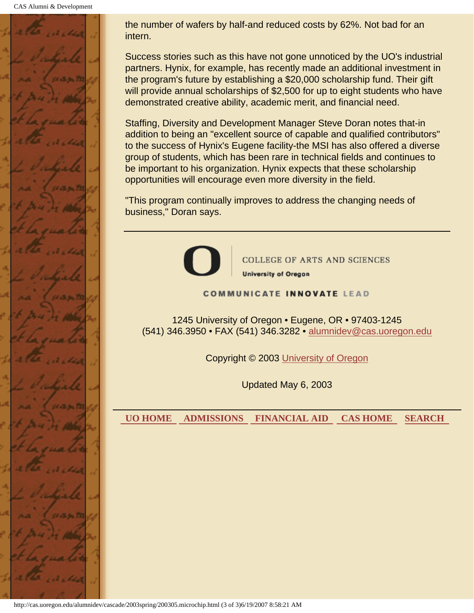CAS Alumni & Development



the number of wafers by half-and reduced costs by 62%. Not bad for an intern.

Success stories such as this have not gone unnoticed by the UO's industrial partners. Hynix, for example, has recently made an additional investment in the program's future by establishing a \$20,000 scholarship fund. Their gift will provide annual scholarships of \$2,500 for up to eight students who have demonstrated creative ability, academic merit, and financial need.

Staffing, Diversity and Development Manager Steve Doran notes that-in addition to being an "excellent source of capable and qualified contributors" to the success of Hynix's Eugene facility-the MSI has also offered a diverse group of students, which has been rare in technical fields and continues to be important to his organization. Hynix expects that these scholarship opportunities will encourage even more diversity in the field.

"This program continually improves to address the changing needs of business," Doran says.



COLLEGE OF ARTS AND SCIENCES **University of Oregon** 

#### **COMMUNICATE INNOVATE LEAD**

1245 University of Oregon • Eugene, OR • 97403-1245 (541) 346.3950 • FAX (541) 346.3282 • alumnidev@cas.uoregon.edu

Copyright © 2003 University of Oregon

Updated May 6, 2003

 **UO HOME ADMISSIONS FINANCIAL AID CAS HOME SEARCH**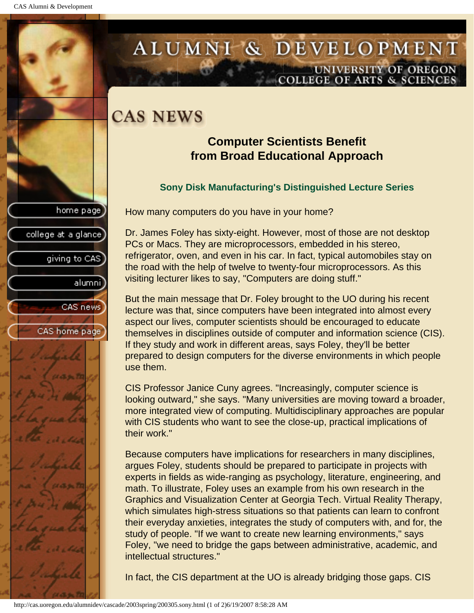college at a glance

giving to CAS

alumni

CAS news

CAS home page

# <span id="page-27-0"></span>ALUMNI & DEVELOPMENT UNIVERSITY OF OREGON<br>COLLEGE OF ARTS & SCIENCES

# **CAS NEWS**

### **Computer Scientists Benefit from Broad Educational Approach**

### **Sony Disk Manufacturing's Distinguished Lecture Series**

How many computers do you have in your home?

Dr. James Foley has sixty-eight. However, most of those are not desktop PCs or Macs. They are microprocessors, embedded in his stereo, refrigerator, oven, and even in his car. In fact, typical automobiles stay on the road with the help of twelve to twenty-four microprocessors. As this visiting lecturer likes to say, "Computers are doing stuff."

But the main message that Dr. Foley brought to the UO during his recent lecture was that, since computers have been integrated into almost every aspect our lives, computer scientists should be encouraged to educate themselves in disciplines outside of computer and information science (CIS). If they study and work in different areas, says Foley, they'll be better prepared to design computers for the diverse environments in which people use them.

CIS Professor Janice Cuny agrees. "Increasingly, computer science is looking outward," she says. "Many universities are moving toward a broader, more integrated view of computing. Multidisciplinary approaches are popular with CIS students who want to see the close-up, practical implications of their work."

Because computers have implications for researchers in many disciplines, argues Foley, students should be prepared to participate in projects with experts in fields as wide-ranging as psychology, literature, engineering, and math. To illustrate, Foley uses an example from his own research in the Graphics and Visualization Center at Georgia Tech. Virtual Reality Therapy, which simulates high-stress situations so that patients can learn to confront their everyday anxieties, integrates the study of computers with, and for, the study of people. "If we want to create new learning environments," says Foley, "we need to bridge the gaps between administrative, academic, and intellectual structures."

In fact, the CIS department at the UO is already bridging those gaps. CIS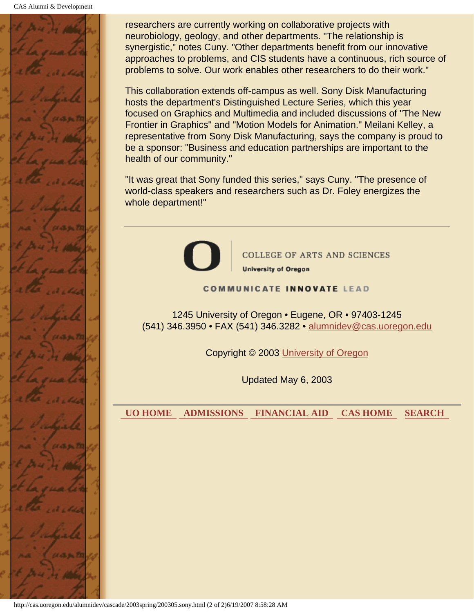

researchers are currently working on collaborative projects with neurobiology, geology, and other departments. "The relationship is synergistic," notes Cuny. "Other departments benefit from our innovative approaches to problems, and CIS students have a continuous, rich source of problems to solve. Our work enables other researchers to do their work."

This collaboration extends off-campus as well. Sony Disk Manufacturing hosts the department's Distinguished Lecture Series, which this year focused on Graphics and Multimedia and included discussions of "The New Frontier in Graphics" and "Motion Models for Animation." Meilani Kelley, a representative from Sony Disk Manufacturing, says the company is proud to be a sponsor: "Business and education partnerships are important to the health of our community."

"It was great that Sony funded this series," says Cuny. "The presence of world-class speakers and researchers such as Dr. Foley energizes the whole department!"



**COLLEGE OF ARTS AND SCIENCES University of Oregon** 

#### **COMMUNICATE INNOVATE LEAD**

1245 University of Oregon • Eugene, OR • 97403-1245 (541) 346.3950 • FAX (541) 346.3282 • alumnidev@cas.uoregon.edu

Copyright © 2003 University of Oregon

Updated May 6, 2003

 **UO HOME ADMISSIONS FINANCIAL AID CAS HOME SEARCH**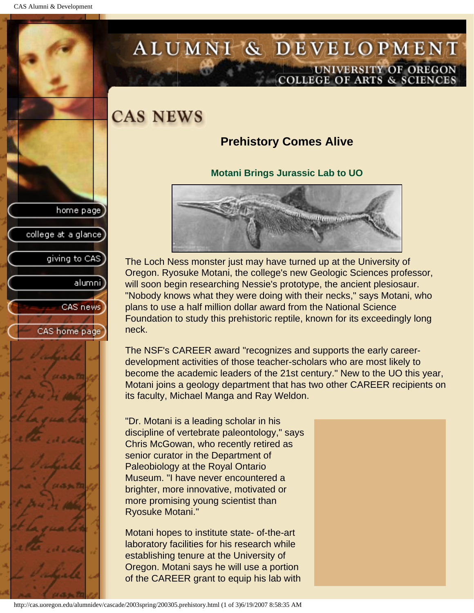giving to CAS

alumnil

CAS news

CAS home page

college at a glance

# <span id="page-29-0"></span>ALUMNI & DEVELOPMENT UNIVERSITY OF OREGON<br>COLLEGE OF ARTS & SCIENCES

## **CAS NEWS**

## **Prehistory Comes Alive**

### **Motani Brings Jurassic Lab to UO**



The Loch Ness monster just may have turned up at the University of Oregon. Ryosuke Motani, the college's new Geologic Sciences professor, will soon begin researching Nessie's prototype, the ancient plesiosaur. "Nobody knows what they were doing with their necks," says Motani, who plans to use a half million dollar award from the National Science Foundation to study this prehistoric reptile, known for its exceedingly long neck.

The NSF's CAREER award "recognizes and supports the early careerdevelopment activities of those teacher-scholars who are most likely to become the academic leaders of the 21st century." New to the UO this year, Motani joins a geology department that has two other CAREER recipients on its faculty, Michael Manga and Ray Weldon.

"Dr. Motani is a leading scholar in his discipline of vertebrate paleontology," says Chris McGowan, who recently retired as senior curator in the Department of Paleobiology at the Royal Ontario Museum. "I have never encountered a brighter, more innovative, motivated or more promising young scientist than Ryosuke Motani."

Motani hopes to institute state- of-the-art laboratory facilities for his research while establishing tenure at the University of Oregon. Motani says he will use a portion of the CAREER grant to equip his lab with

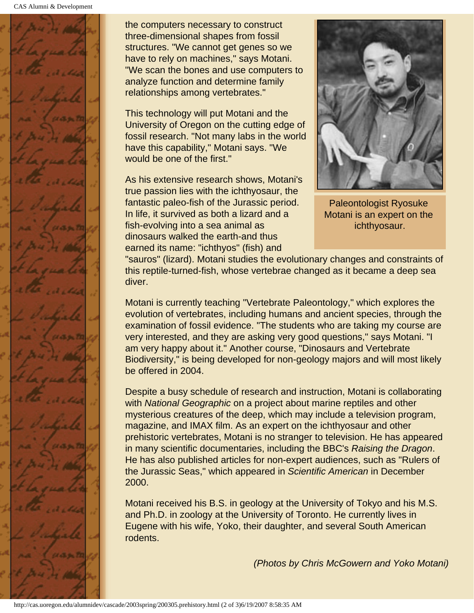

the computers necessary to construct three-dimensional shapes from fossil structures. "We cannot get genes so we have to rely on machines," says Motani. "We scan the bones and use computers to analyze function and determine family relationships among vertebrates."

This technology will put Motani and the University of Oregon on the cutting edge of fossil research. "Not many labs in the world have this capability," Motani says. "We would be one of the first."

As his extensive research shows, Motani's true passion lies with the ichthyosaur, the fantastic paleo-fish of the Jurassic period. In life, it survived as both a lizard and a fish-evolving into a sea animal as dinosaurs walked the earth-and thus earned its name: "ichthyos" (fish) and



Paleontologist Ryosuke Motani is an expert on the ichthyosaur.

"sauros" (lizard). Motani studies the evolutionary changes and constraints of this reptile-turned-fish, whose vertebrae changed as it became a deep sea diver.

Motani is currently teaching "Vertebrate Paleontology," which explores the evolution of vertebrates, including humans and ancient species, through the examination of fossil evidence. "The students who are taking my course are very interested, and they are asking very good questions," says Motani. "I am very happy about it." Another course, "Dinosaurs and Vertebrate Biodiversity," is being developed for non-geology majors and will most likely be offered in 2004.

Despite a busy schedule of research and instruction, Motani is collaborating with *National Geographic* on a project about marine reptiles and other mysterious creatures of the deep, which may include a television program, magazine, and IMAX film. As an expert on the ichthyosaur and other prehistoric vertebrates, Motani is no stranger to television. He has appeared in many scientific documentaries, including the BBC's *Raising the Dragon*. He has also published articles for non-expert audiences, such as "Rulers of the Jurassic Seas," which appeared in *Scientific American* in December 2000.

Motani received his B.S. in geology at the University of Tokyo and his M.S. and Ph.D. in zoology at the University of Toronto. He currently lives in Eugene with his wife, Yoko, their daughter, and several South American rodents.

*(Photos by Chris McGowern and Yoko Motani)*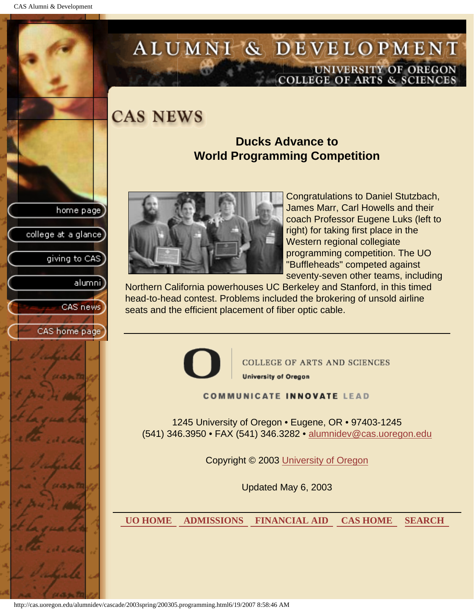college at a glance

giving to CAS

alumnil

CAS news

CAS home page

# <span id="page-31-0"></span>ALUMNI & DEVELOPMENT UNIVERSITY OF OREGON<br>COLLEGE OF ARTS & SCIENCES

**CAS NEWS** 

### **Ducks Advance to World Programming Competition**



Congratulations to Daniel Stutzbach, James Marr, Carl Howells and their coach Professor Eugene Luks (left to right) for taking first place in the Western regional collegiate programming competition. The UO "Buffleheads" competed against seventy-seven other teams, including

Northern California powerhouses UC Berkeley and Stanford, in this timed head-to-head contest. Problems included the brokering of unsold airline seats and the efficient placement of fiber optic cable.



**COLLEGE OF ARTS AND SCIENCES University of Oregon** 

#### **COMMUNICATE INNOVATE LEAD**

1245 University of Oregon • Eugene, OR • 97403-1245 (541) 346.3950 • FAX (541) 346.3282 • alumnidev@cas.uoregon.edu

Copyright © 2003 University of Oregon

Updated May 6, 2003

 **UO HOME ADMISSIONS FINANCIAL AID CAS HOME SEARCH**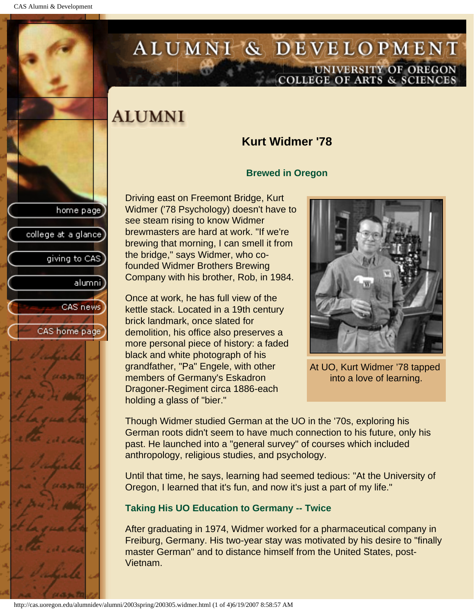college at a glance

giving to CAS

alumnil

CAS news

CAS home page

# <span id="page-32-0"></span>ALUMNI & DEVELOPMENT UNIVERSITY OF OREGON<br>COLLEGE OF ARTS & SCIENCES

# **ALUMNI**

### **Kurt Widmer '78**

### **Brewed in Oregon**

Driving east on Freemont Bridge, Kurt Widmer ('78 Psychology) doesn't have to see steam rising to know Widmer brewmasters are hard at work. "If we're brewing that morning, I can smell it from the bridge," says Widmer, who cofounded Widmer Brothers Brewing Company with his brother, Rob, in 1984.

Once at work, he has full view of the kettle stack. Located in a 19th century brick landmark, once slated for demolition, his office also preserves a more personal piece of history: a faded black and white photograph of his grandfather, "Pa" Engele, with other members of Germany's Eskadron Dragoner-Regiment circa 1886-each holding a glass of "bier."



At UO, Kurt Widmer '78 tapped into a love of learning.

Though Widmer studied German at the UO in the '70s, exploring his German roots didn't seem to have much connection to his future, only his past. He launched into a "general survey" of courses which included anthropology, religious studies, and psychology.

Until that time, he says, learning had seemed tedious: "At the University of Oregon, I learned that it's fun, and now it's just a part of my life."

### **Taking His UO Education to Germany -- Twice**

After graduating in 1974, Widmer worked for a pharmaceutical company in Freiburg, Germany. His two-year stay was motivated by his desire to "finally master German" and to distance himself from the United States, post-Vietnam.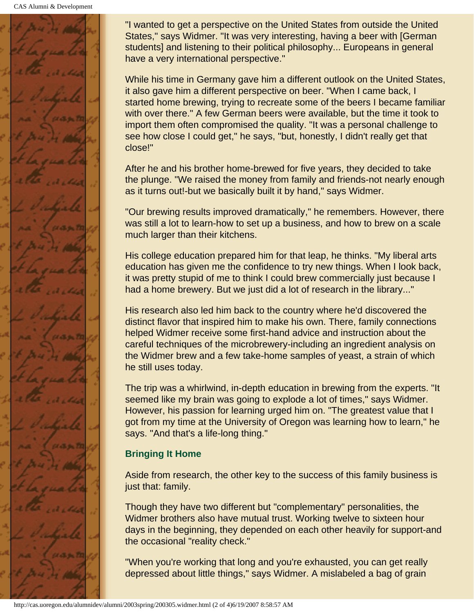

"I wanted to get a perspective on the United States from outside the United States," says Widmer. "It was very interesting, having a beer with [German students] and listening to their political philosophy... Europeans in general have a very international perspective."

While his time in Germany gave him a different outlook on the United States, it also gave him a different perspective on beer. "When I came back, I started home brewing, trying to recreate some of the beers I became familiar with over there." A few German beers were available, but the time it took to import them often compromised the quality. "It was a personal challenge to see how close I could get," he says, "but, honestly, I didn't really get that close!"

After he and his brother home-brewed for five years, they decided to take the plunge. "We raised the money from family and friends-not nearly enough as it turns out!-but we basically built it by hand," says Widmer.

"Our brewing results improved dramatically," he remembers. However, there was still a lot to learn-how to set up a business, and how to brew on a scale much larger than their kitchens.

His college education prepared him for that leap, he thinks. "My liberal arts education has given me the confidence to try new things. When I look back, it was pretty stupid of me to think I could brew commercially just because I had a home brewery. But we just did a lot of research in the library..."

His research also led him back to the country where he'd discovered the distinct flavor that inspired him to make his own. There, family connections helped Widmer receive some first-hand advice and instruction about the careful techniques of the microbrewery-including an ingredient analysis on the Widmer brew and a few take-home samples of yeast, a strain of which he still uses today.

The trip was a whirlwind, in-depth education in brewing from the experts. "It seemed like my brain was going to explode a lot of times," says Widmer. However, his passion for learning urged him on. "The greatest value that I got from my time at the University of Oregon was learning how to learn," he says. "And that's a life-long thing."

### **Bringing It Home**

Aside from research, the other key to the success of this family business is just that: family.

Though they have two different but "complementary" personalities, the Widmer brothers also have mutual trust. Working twelve to sixteen hour days in the beginning, they depended on each other heavily for support-and the occasional "reality check."

"When you're working that long and you're exhausted, you can get really depressed about little things," says Widmer. A mislabeled a bag of grain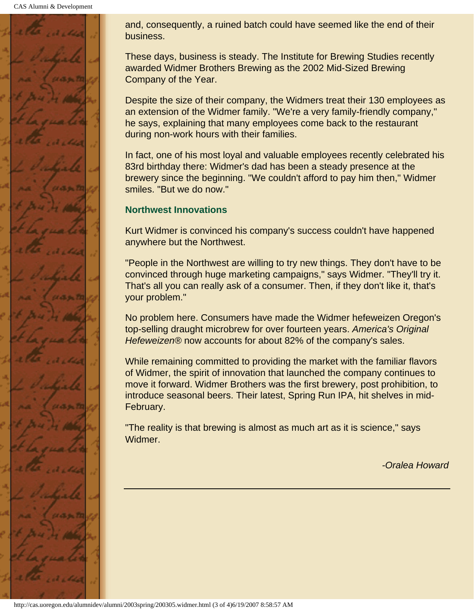CAS Alumni & Development



and, consequently, a ruined batch could have seemed like the end of their business.

These days, business is steady. The Institute for Brewing Studies recently awarded Widmer Brothers Brewing as the 2002 Mid-Sized Brewing Company of the Year.

Despite the size of their company, the Widmers treat their 130 employees as an extension of the Widmer family. "We're a very family-friendly company," he says, explaining that many employees come back to the restaurant during non-work hours with their families.

In fact, one of his most loyal and valuable employees recently celebrated his 83rd birthday there: Widmer's dad has been a steady presence at the brewery since the beginning. "We couldn't afford to pay him then," Widmer smiles. "But we do now."

### **Northwest Innovations**

Kurt Widmer is convinced his company's success couldn't have happened anywhere but the Northwest.

"People in the Northwest are willing to try new things. They don't have to be convinced through huge marketing campaigns," says Widmer. "They'll try it. That's all you can really ask of a consumer. Then, if they don't like it, that's your problem."

No problem here. Consumers have made the Widmer hefeweizen Oregon's top-selling draught microbrew for over fourteen years. *America's Original Hefeweizen®* now accounts for about 82% of the company's sales.

While remaining committed to providing the market with the familiar flavors of Widmer, the spirit of innovation that launched the company continues to move it forward. Widmer Brothers was the first brewery, post prohibition, to introduce seasonal beers. Their latest, Spring Run IPA, hit shelves in mid-February.

"The reality is that brewing is almost as much art as it is science," says Widmer.

*-Oralea Howard*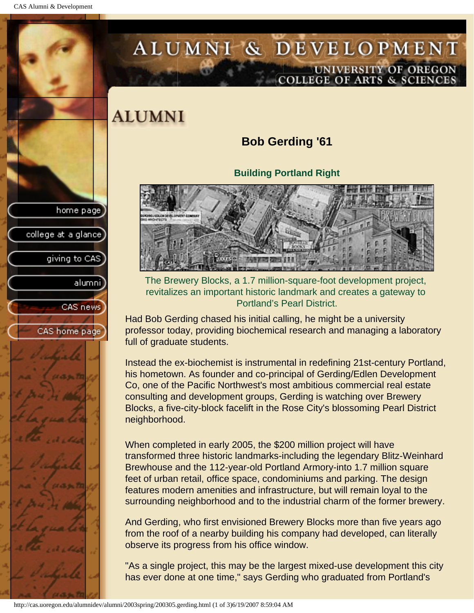<span id="page-35-0"></span>CAS Alumni & Development

# ALUMNI & DEVELOPMENT UNIVERSITY OF OREGON<br>COLLEGE OF ARTS & SCIENCES

# **ALUMNI**

## **Bob Gerding '61**

**Building Portland Right** 



The Brewery Blocks, a 1.7 million-square-foot development project, revitalizes an important historic landmark and creates a gateway to Portland's Pearl District.

Had Bob Gerding chased his initial calling, he might be a university professor today, providing biochemical research and managing a laboratory full of graduate students.

Instead the ex-biochemist is instrumental in redefining 21st-century Portland, his hometown. As founder and co-principal of Gerding/Edlen Development Co, one of the Pacific Northwest's most ambitious commercial real estate consulting and development groups, Gerding is watching over Brewery Blocks, a five-city-block facelift in the Rose City's blossoming Pearl District neighborhood.

When completed in early 2005, the \$200 million project will have transformed three historic landmarks-including the legendary Blitz-Weinhard Brewhouse and the 112-year-old Portland Armory-into 1.7 million square feet of urban retail, office space, condominiums and parking. The design features modern amenities and infrastructure, but will remain loyal to the surrounding neighborhood and to the industrial charm of the former brewery.

And Gerding, who first envisioned Brewery Blocks more than five years ago from the roof of a nearby building his company had developed, can literally observe its progress from his office window.

"As a single project, this may be the largest mixed-use development this city has ever done at one time," says Gerding who graduated from Portland's

college at a glance giving to CAS alumni CAS news CAS home page

home page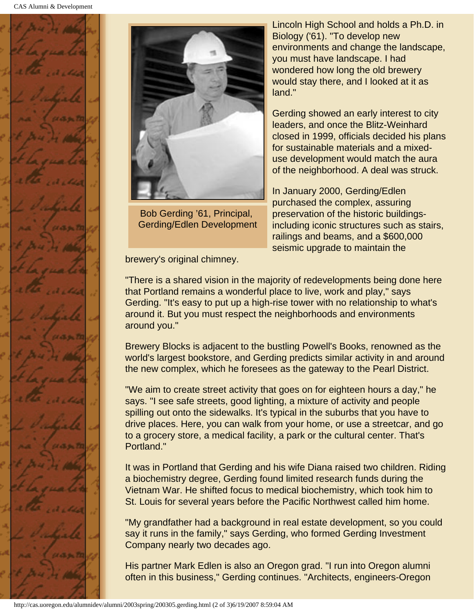



Bob Gerding '61, Principal, Gerding/Edlen Development

Lincoln High School and holds a Ph.D. in Biology ('61). "To develop new environments and change the landscape, you must have landscape. I had wondered how long the old brewery would stay there, and I looked at it as land."

Gerding showed an early interest to city leaders, and once the Blitz-Weinhard closed in 1999, officials decided his plans for sustainable materials and a mixeduse development would match the aura of the neighborhood. A deal was struck.

In January 2000, Gerding/Edlen purchased the complex, assuring preservation of the historic buildingsincluding iconic structures such as stairs, railings and beams, and a \$600,000 seismic upgrade to maintain the

brewery's original chimney.

"There is a shared vision in the majority of redevelopments being done here that Portland remains a wonderful place to live, work and play," says Gerding. "It's easy to put up a high-rise tower with no relationship to what's around it. But you must respect the neighborhoods and environments around you."

Brewery Blocks is adjacent to the bustling Powell's Books, renowned as the world's largest bookstore, and Gerding predicts similar activity in and around the new complex, which he foresees as the gateway to the Pearl District.

"We aim to create street activity that goes on for eighteen hours a day," he says. "I see safe streets, good lighting, a mixture of activity and people spilling out onto the sidewalks. It's typical in the suburbs that you have to drive places. Here, you can walk from your home, or use a streetcar, and go to a grocery store, a medical facility, a park or the cultural center. That's Portland."

It was in Portland that Gerding and his wife Diana raised two children. Riding a biochemistry degree, Gerding found limited research funds during the Vietnam War. He shifted focus to medical biochemistry, which took him to St. Louis for several years before the Pacific Northwest called him home.

"My grandfather had a background in real estate development, so you could say it runs in the family," says Gerding, who formed Gerding Investment Company nearly two decades ago.

His partner Mark Edlen is also an Oregon grad. "I run into Oregon alumni often in this business," Gerding continues. "Architects, engineers-Oregon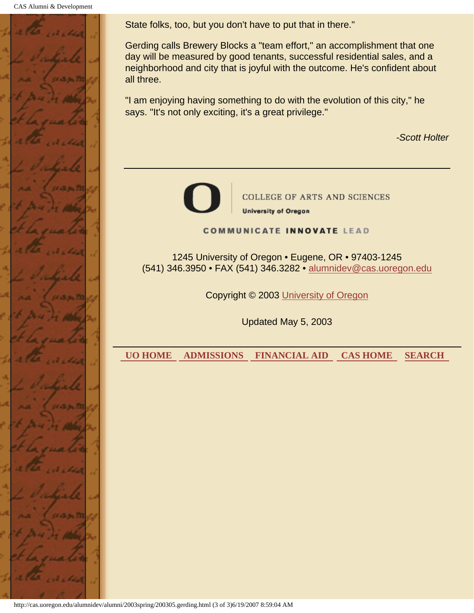CAS Alumni & Development



State folks, too, but you don't have to put that in there."

Gerding calls Brewery Blocks a "team effort," an accomplishment that one day will be measured by good tenants, successful residential sales, and a neighborhood and city that is joyful with the outcome. He's confident about all three.

"I am enjoying having something to do with the evolution of this city," he says. "It's not only exciting, it's a great privilege."

*-Scott Holter* 



COLLEGE OF ARTS AND SCIENCES **University of Oregon** 

**COMMUNICATE INNOVATE LEAD** 

1245 University of Oregon • Eugene, OR • 97403-1245 (541) 346.3950 • FAX (541) 346.3282 • alumnidev@cas.uoregon.edu

Copyright © 2003 University of Oregon

Updated May 5, 2003

 **UO HOME ADMISSIONS FINANCIAL AID CAS HOME SEARCH**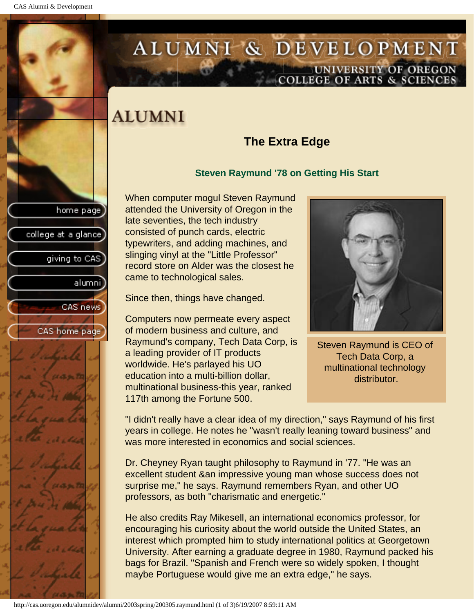college at a glance

giving to CAS

alumnil

CAS news

CAS home page

# <span id="page-38-0"></span>ALUMNI & DEVELOPMENT UNIVERSITY OF OREGON<br>COLLEGE OF ARTS & SCIENCES

# **ALUMNI**

## **The Extra Edge**

#### **Steven Raymund '78 on Getting His Start**

When computer mogul Steven Raymund attended the University of Oregon in the late seventies, the tech industry consisted of punch cards, electric typewriters, and adding machines, and slinging vinyl at the "Little Professor" record store on Alder was the closest he came to technological sales.

Since then, things have changed.

Computers now permeate every aspect of modern business and culture, and Raymund's company, Tech Data Corp, is a leading provider of IT products worldwide. He's parlayed his UO education into a multi-billion dollar, multinational business-this year, ranked 117th among the Fortune 500.



Steven Raymund is CEO of Tech Data Corp, a multinational technology distributor.

"I didn't really have a clear idea of my direction," says Raymund of his first years in college. He notes he "wasn't really leaning toward business" and was more interested in economics and social sciences.

Dr. Cheyney Ryan taught philosophy to Raymund in '77. "He was an excellent student &an impressive young man whose success does not surprise me," he says. Raymund remembers Ryan, and other UO professors, as both "charismatic and energetic."

He also credits Ray Mikesell, an international economics professor, for encouraging his curiosity about the world outside the United States, an interest which prompted him to study international politics at Georgetown University. After earning a graduate degree in 1980, Raymund packed his bags for Brazil. "Spanish and French were so widely spoken, I thought maybe Portuguese would give me an extra edge," he says.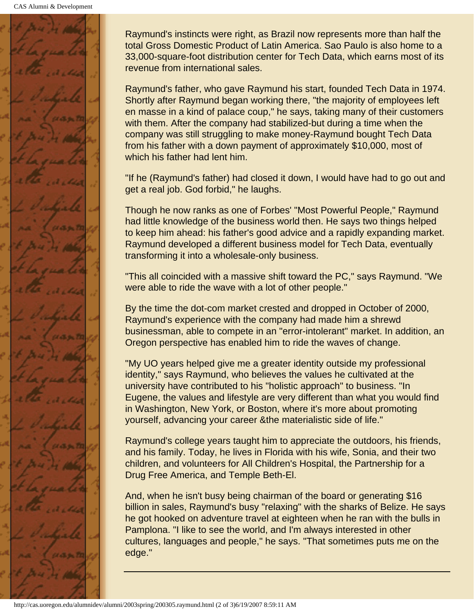

Raymund's instincts were right, as Brazil now represents more than half the total Gross Domestic Product of Latin America. Sao Paulo is also home to a 33,000-square-foot distribution center for Tech Data, which earns most of its revenue from international sales.

Raymund's father, who gave Raymund his start, founded Tech Data in 1974. Shortly after Raymund began working there, "the majority of employees left en masse in a kind of palace coup," he says, taking many of their customers with them. After the company had stabilized-but during a time when the company was still struggling to make money-Raymund bought Tech Data from his father with a down payment of approximately \$10,000, most of which his father had lent him.

"If he (Raymund's father) had closed it down, I would have had to go out and get a real job. God forbid," he laughs.

Though he now ranks as one of Forbes' "Most Powerful People," Raymund had little knowledge of the business world then. He says two things helped to keep him ahead: his father's good advice and a rapidly expanding market. Raymund developed a different business model for Tech Data, eventually transforming it into a wholesale-only business.

"This all coincided with a massive shift toward the PC," says Raymund. "We were able to ride the wave with a lot of other people."

By the time the dot-com market crested and dropped in October of 2000, Raymund's experience with the company had made him a shrewd businessman, able to compete in an "error-intolerant" market. In addition, an Oregon perspective has enabled him to ride the waves of change.

"My UO years helped give me a greater identity outside my professional identity," says Raymund, who believes the values he cultivated at the university have contributed to his "holistic approach" to business. "In Eugene, the values and lifestyle are very different than what you would find in Washington, New York, or Boston, where it's more about promoting yourself, advancing your career &the materialistic side of life."

Raymund's college years taught him to appreciate the outdoors, his friends, and his family. Today, he lives in Florida with his wife, Sonia, and their two children, and volunteers for All Children's Hospital, the Partnership for a Drug Free America, and Temple Beth-El.

And, when he isn't busy being chairman of the board or generating \$16 billion in sales, Raymund's busy "relaxing" with the sharks of Belize. He says he got hooked on adventure travel at eighteen when he ran with the bulls in Pamplona. "I like to see the world, and I'm always interested in other cultures, languages and people," he says. "That sometimes puts me on the edge."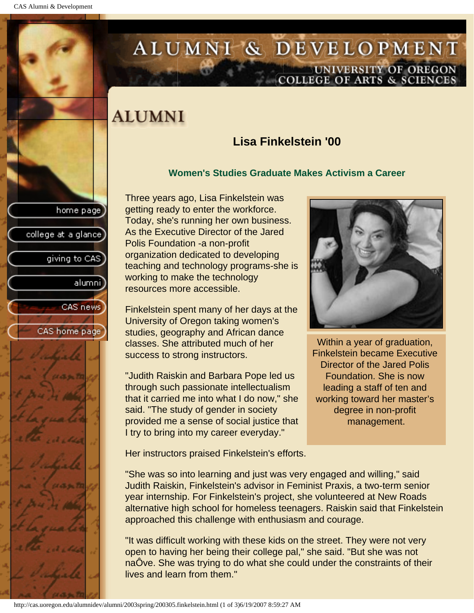college at a glance

giving to CAS

alumnil

CAS news

CAS home page

# <span id="page-40-0"></span>ALUMNI & DEVELOPMENT UNIVERSITY OF OREGON<br>COLLEGE OF ARTS & SCIENCES

## **ALUMNI**

## **Lisa Finkelstein '00**

#### **Women's Studies Graduate Makes Activism a Career**

Three years ago, Lisa Finkelstein was getting ready to enter the workforce. Today, she's running her own business. As the Executive Director of the Jared Polis Foundation -a non-profit organization dedicated to developing teaching and technology programs-she is working to make the technology resources more accessible.

Finkelstein spent many of her days at the University of Oregon taking women's studies, geography and African dance classes. She attributed much of her success to strong instructors.

"Judith Raiskin and Barbara Pope led us through such passionate intellectualism that it carried me into what I do now," she said. "The study of gender in society provided me a sense of social justice that I try to bring into my career everyday."



Within a year of graduation, Finkelstein became Executive Director of the Jared Polis Foundation. She is now leading a staff of ten and working toward her master's degree in non-profit management.

Her instructors praised Finkelstein's efforts.

"She was so into learning and just was very engaged and willing," said Judith Raiskin, Finkelstein's advisor in Feminist Praxis, a two-term senior year internship. For Finkelstein's project, she volunteered at New Roads alternative high school for homeless teenagers. Raiskin said that Finkelstein approached this challenge with enthusiasm and courage.

"It was difficult working with these kids on the street. They were not very open to having her being their college pal," she said. "But she was not naÔve. She was trying to do what she could under the constraints of their lives and learn from them."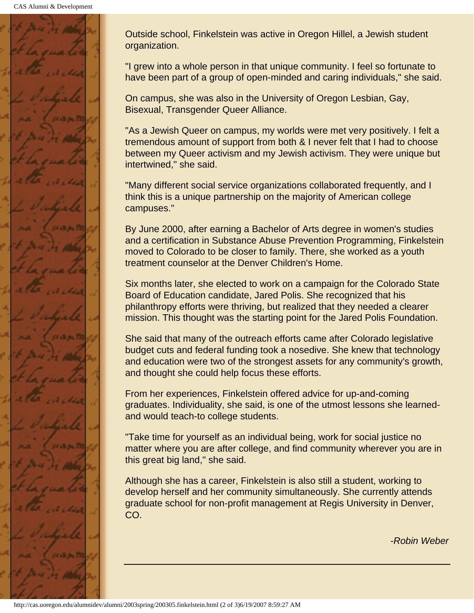

Outside school, Finkelstein was active in Oregon Hillel, a Jewish student organization.

"I grew into a whole person in that unique community. I feel so fortunate to have been part of a group of open-minded and caring individuals," she said.

On campus, she was also in the University of Oregon Lesbian, Gay, Bisexual, Transgender Queer Alliance.

"As a Jewish Queer on campus, my worlds were met very positively. I felt a tremendous amount of support from both & I never felt that I had to choose between my Queer activism and my Jewish activism. They were unique but intertwined," she said.

"Many different social service organizations collaborated frequently, and I think this is a unique partnership on the majority of American college campuses."

By June 2000, after earning a Bachelor of Arts degree in women's studies and a certification in Substance Abuse Prevention Programming, Finkelstein moved to Colorado to be closer to family. There, she worked as a youth treatment counselor at the Denver Children's Home.

Six months later, she elected to work on a campaign for the Colorado State Board of Education candidate, Jared Polis. She recognized that his philanthropy efforts were thriving, but realized that they needed a clearer mission. This thought was the starting point for the Jared Polis Foundation.

She said that many of the outreach efforts came after Colorado legislative budget cuts and federal funding took a nosedive. She knew that technology and education were two of the strongest assets for any community's growth, and thought she could help focus these efforts.

From her experiences, Finkelstein offered advice for up-and-coming graduates. Individuality, she said, is one of the utmost lessons she learnedand would teach-to college students.

"Take time for yourself as an individual being, work for social justice no matter where you are after college, and find community wherever you are in this great big land," she said.

Although she has a career, Finkelstein is also still a student, working to develop herself and her community simultaneously. She currently attends graduate school for non-profit management at Regis University in Denver, CO.

*-Robin Weber*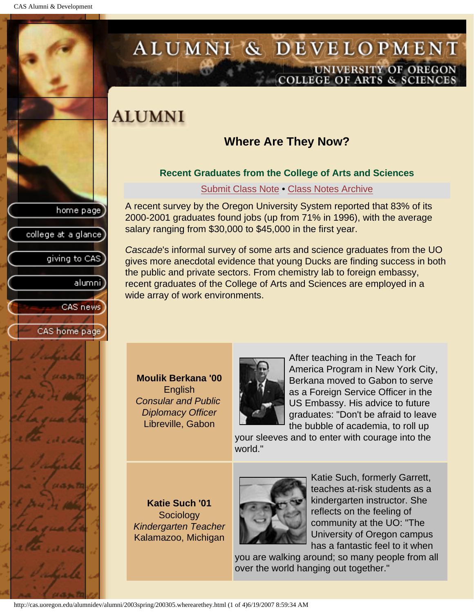college at a glance

giving to CAS

alumnil

CAS news

CAS home page

# <span id="page-42-0"></span>ALUMNI & DEVELOPMENT UNIVERSITY OF OREGON<br>COLLEGE OF ARTS & SCIENCES

## **ALUMNI**

## **Where Are They Now?**

### **Recent Graduates from the College of Arts and Sciences**

Submit Class Note • [Class Notes Archive](#page-46-0)

A recent survey by the Oregon University System reported that 83% of its 2000-2001 graduates found jobs (up from 71% in 1996), with the average salary ranging from \$30,000 to \$45,000 in the first year.

*Cascade*'s informal survey of some arts and science graduates from the UO gives more anecdotal evidence that young Ducks are finding success in both the public and private sectors. From chemistry lab to foreign embassy, recent graduates of the College of Arts and Sciences are employed in a wide array of work environments.

**Moulik Berkana '00 English** *Consular and Public Diplomacy Officer* Libreville, Gabon



After teaching in the Teach for America Program in New York City, Berkana moved to Gabon to serve as a Foreign Service Officer in the US Embassy. His advice to future graduates: "Don't be afraid to leave the bubble of academia, to roll up

your sleeves and to enter with courage into the world."

**Katie Such '01 Sociology** *Kindergarten Teacher* Kalamazoo, Michigan



Katie Such, formerly Garrett, teaches at-risk students as a kindergarten instructor. She reflects on the feeling of community at the UO: "The University of Oregon campus has a fantastic feel to it when

you are walking around; so many people from all over the world hanging out together."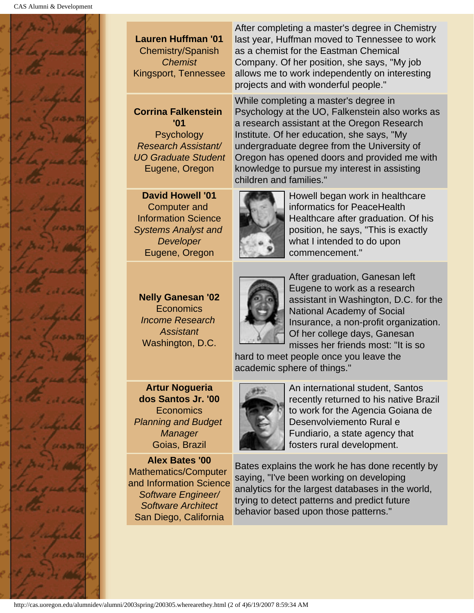

### **Lauren Huffman '01**

Chemistry/Spanish *Chemist* Kingsport, Tennessee

### **Corrina Falkenstein '01 Psychology**

*Research Assistant/ UO Graduate Student* Eugene, Oregon

**David Howell '01** Computer and Information Science *Systems Analyst and Developer* Eugene, Oregon

**Nelly Ganesan '02 Economics** *Income Research Assistant* Washington, D.C.

**Artur Nogueria dos Santos Jr. '00** Economics *Planning and Budget Manager* Goias, Brazil

**Alex Bates '00** Mathematics/Computer and Information Science *Software Engineer/ Software Architect* San Diego, California

After completing a master's degree in Chemistry last year, Huffman moved to Tennessee to work as a chemist for the Eastman Chemical Company. Of her position, she says, "My job allows me to work independently on interesting projects and with wonderful people."

While completing a master's degree in Psychology at the UO, Falkenstein also works as a research assistant at the Oregon Research Institute. Of her education, she says, "My undergraduate degree from the University of Oregon has opened doors and provided me with knowledge to pursue my interest in assisting children and families."



Howell began work in healthcare informatics for PeaceHealth Healthcare after graduation. Of his position, he says, "This is exactly what I intended to do upon commencement."



After graduation, Ganesan left Eugene to work as a research assistant in Washington, D.C. for the National Academy of Social Insurance, a non-profit organization. Of her college days, Ganesan misses her friends most: "It is so

hard to meet people once you leave the academic sphere of things."



An international student, Santos recently returned to his native Brazil to work for the Agencia Goiana de Desenvolviemento Rural e Fundiario, a state agency that fosters rural development.

Bates explains the work he has done recently by saying, "I've been working on developing analytics for the largest databases in the world, trying to detect patterns and predict future behavior based upon those patterns."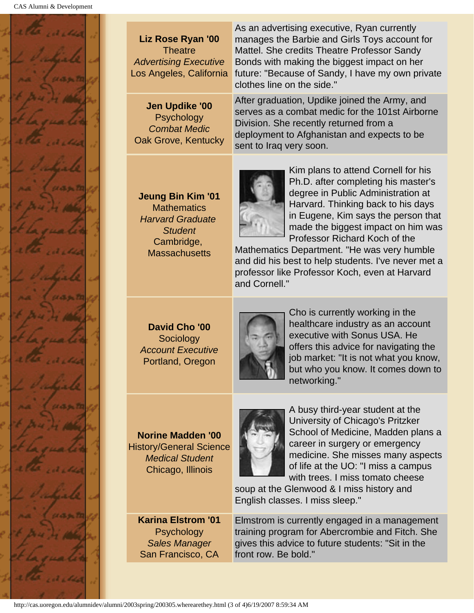

| Liz Rose Ryan '00<br><b>Theatre</b><br><b>Advertising Executive</b><br>Los Angeles, California | As an advertising executive, Ryan currently<br>manages the Barbie and Girls Toys account for<br>Mattel. She credits Theatre Professor Sandy<br>Bonds with making the biggest impact on her<br>future: "Because of Sandy, I have my own private<br>clothes line on the side." |  |  |
|------------------------------------------------------------------------------------------------|------------------------------------------------------------------------------------------------------------------------------------------------------------------------------------------------------------------------------------------------------------------------------|--|--|
| Jen Updike '00<br>Psychology<br><b>Combat Medic</b><br>Oak Grove, Kentucky                     | After graduation, Updike joined the Army, and<br>serves as a combat medic for the 101st Airborne<br>Division. She recently returned from a<br>deployment to Afghanistan and expects to be<br>sent to Iraq very soon.                                                         |  |  |
| <b>Jeung Bin Kim '01</b><br>$M0$ thomation                                                     | Kim plans to attend Cornell for his<br>Ph.D. after completing his master's<br>degree in Public Administration at<br>Harvard. Thinking back to his days                                                                                                                       |  |  |

**Mathematics** *Harvard Graduate Student* Cambridge, **Massachusetts** 

Harvard. Thinking back to his days in Eugene, Kim says the person that made the biggest impact on him was Professor Richard Koch of the

Mathematics Department. "He was very humble and did his best to help students. I've never met a professor like Professor Koch, even at Harvard and Cornell."

**David Cho '00 Sociology** *Account Executive* Portland, Oregon



Cho is currently working in the healthcare industry as an account executive with Sonus USA. He offers this advice for navigating the job market: "It is not what you know, but who you know. It comes down to networking."

**Norine Madden '00** History/General Science *Medical Student* Chicago, Illinois

A busy third-year student at the University of Chicago's Pritzker School of Medicine, Madden plans a career in surgery or emergency medicine. She misses many aspects of life at the UO: "I miss a campus with trees. I miss tomato cheese

soup at the Glenwood & I miss history and English classes. I miss sleep."

**Karina Elstrom '01 Psychology** *Sales Manager* San Francisco, CA

Elmstrom is currently engaged in a management training program for Abercrombie and Fitch. She gives this advice to future students: "Sit in the front row. Be bold."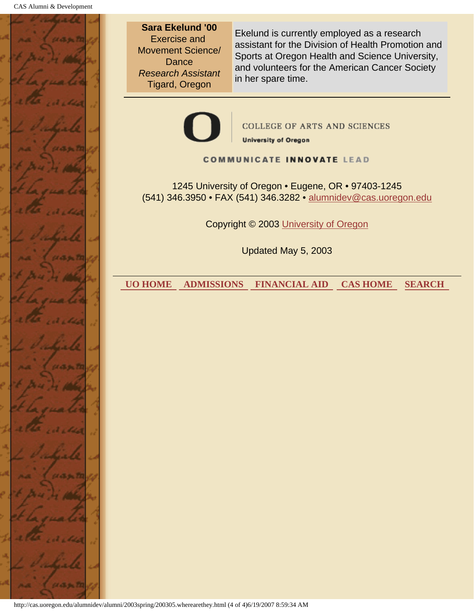

**Sara Ekelund '00** Exercise and Movement Science/ **Dance** *Research Assistant* Tigard, Oregon

Ekelund is currently employed as a research assistant for the Division of Health Promotion and Sports at Oregon Health and Science University, and volunteers for the American Cancer Society in her spare time.



**COLLEGE OF ARTS AND SCIENCES University of Oregon** 

#### **COMMUNICATE INNOVATE LEAD**

1245 University of Oregon • Eugene, OR • 97403-1245 (541) 346.3950 • FAX (541) 346.3282 • alumnidev@cas.uoregon.edu

Copyright © 2003 University of Oregon

Updated May 5, 2003

 **UO HOME ADMISSIONS FINANCIAL AID CAS HOME SEARCH**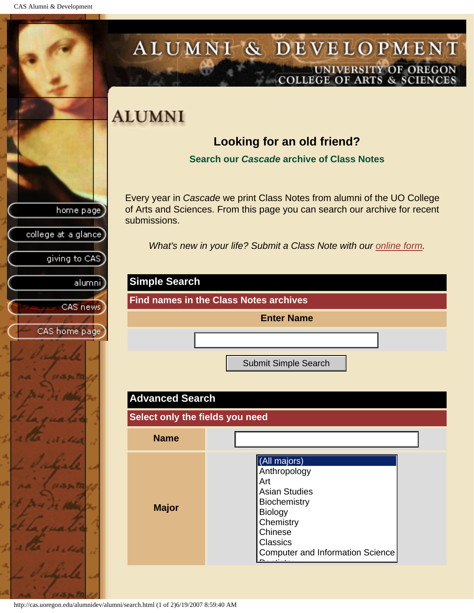<span id="page-46-0"></span>